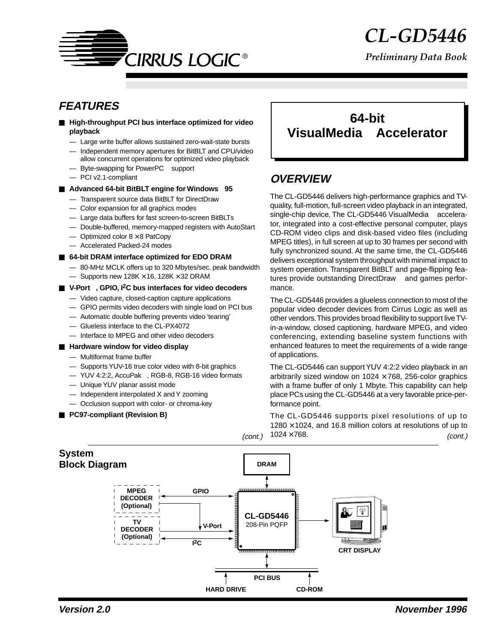

*Preliminary Data Book*

### **FEATURES**

- **High-throughput PCI bus interface optimized for video playback**
	- Large write buffer allows sustained zero-wait-state bursts
	- Independent memory apertures for BitBLT and CPU/video allow concurrent operations for optimized video playback
	- Byte-swapping for PowerPC™ support
	- PCI v2.1-compliant
- Advanced 64-bit BitBLT engine for Windows<sup>®</sup> 95
	- Transparent source data BitBLT for DirectDraw
	- Color expansion for all graphics modes
	- Large data buffers for fast screen-to-screen BitBLTs
	- Double-buffered, memory-mapped registers with AutoStart
	- $-$  Optimized color  $8 \times 8$  PatCopy
	- Accelerated Packed-24 modes
- **64-bit DRAM interface optimized for EDO DRAM** 
	- 80-MHz MCLK offers up to 320 Mbytes/sec. peak bandwidth
	- $-$  Supports new 128K  $\times$  16, 128K  $\times$  32 DRAM
- V-Port<sup>™</sup>, GPIO, I<sup>2</sup>C bus interfaces for video decoders
	- Video capture, closed-caption capture applications
	- GPIO permits video decoders with single load on PCI bus
	- Automatic double buffering prevents video 'tearing'
	- Glueless interface to the CL-PX4072
	- Interface to MPEG and other video decoders

#### ■ **Hardware window for video display**

- Multiformat frame buffer
- Supports YUV-16 true color video with 8-bit graphics
- YUV 4:2:2, AccuPak™, RGB-8, RGB-16 video formats
- Unique YUV planar assist mode
- Independent interpolated X and Y zooming
- Occlusion support with color- or chroma-key
- **PC97-compliant (Revision B)**

### **64-bit VisualMedia Accelerator**

### **OVERVIEW**

The CL-GD5446 delivers high-performance graphics and TVquality, full-motion, full-screen video playback in an integrated, single-chip device. The CL-GD5446 VisualMedia™ accelerator, integrated into a cost-effective personal computer, plays CD-ROM video clips and disk-based video files (including MPEG titles), in full screen at up to 30 frames per second with fully synchronized sound. At the same time, the CL-GD5446 delivers exceptional system throughput with minimal impact to system operation. Transparent BitBLT and page-flipping features provide outstanding DirectDraw™ and games performance.

The CL-GD5446 provides a glueless connection to most of the popular video decoder devices from Cirrus Logic as well as other vendors. This provides broad flexibility to support live TVin-a-window, closed captioning, hardware MPEG, and video conferencing, extending baseline system functions with enhanced features to meet the requirements of a wide range of applications.

The CL-GD5446 can support YUV 4:2:2 video playback in an arbitrarily sized window on  $1024 \times 768$ , 256-color graphics with a frame buffer of only 1 Mbyte. This capability can help place PCs using the CL-GD5446 at a very favorable price-performance point.

The CL-GD5446 supports pixel resolutions of up to  $1280 \times 1024$ , and 16.8 million colors at resolutions of up to  $1024 \times 768$ .  $(cont.)$   $1024 \times 168.$  (cont.)

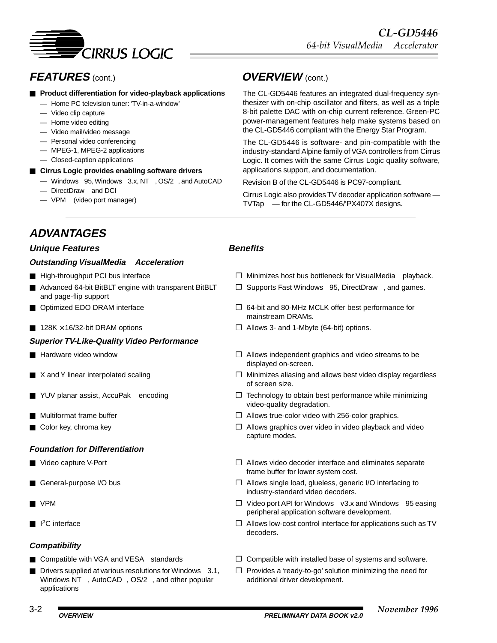

# **FEATURES** (cont.) **OVERVIEW** (cont.)

#### ■ **Product differentiation for video-playback applications**

- Home PC television tuner: 'TV-in-a-window'
- Video clip capture
- Home video editing
- Video mail/video message
- Personal video conferencing
- MPEG-1, MPEG-2 applications
- Closed-caption applications
- **Cirrus Logic provides enabling software drivers** 
	- Windows<sup>®</sup> 95, Windows<sup>®</sup> 3.x, NT<sup>™</sup>, OS/2<sup>®</sup>, and AutoCAD<sup>®</sup>
	- $-$  DirectDraw<sup>TM</sup> and DCI
	- $-$  VPM<sup>™</sup> (video port manager)

The CL-GD5446 features an integrated dual-frequency synthesizer with on-chip oscillator and filters, as well as a triple 8-bit palette DAC with on-chip current reference. Green-PC power-management features help make systems based on the CL-GD5446 compliant with the Energy Star Program.

The CL-GD5446 is software- and pin-compatible with the industry-standard Alpine family of VGA controllers from Cirrus Logic. It comes with the same Cirrus Logic quality software, applications support, and documentation.

Revision B of the CL-GD5446 is PC97-compliant.

Cirrus Logic also provides TV decoder application software —  $TV$ Tap<sup>™</sup> — for the CL-GD5446/'PX407X designs.

## **ADVANTAGES**

#### **Unique Features Construction Construction Construction Construction Construction Construction Construction Const**

#### **Outstanding VisualMedia<sup>™</sup> Acceleration**

- 
- Advanced 64-bit BitBLT engine with transparent BitBLT and page-flip support
- 
- 

#### **Superior TV-Like-Quality Video Performance**

- 
- 
- 
- 
- 

#### **Foundation for Differentiation**

- 
- 
- 
- 

#### **Compatibility**

- 
- **De** Drivers supplied at various resolutions for Windows  $\textcircled{3.1}$ , Windows NT™, AutoCAD®, OS/2®, and other popular applications

- High-throughput PCI bus interface <br>■ Minimizes host bus bottleneck for VisualMedia™ playback.
	- ❒ Supports Fast Windows 95, DirectDraw, and games.
- Optimized EDO DRAM interface □ □ 64-bit and 80-MHz MCLK offer best performance for mainstream DRAMs.
- 128K × 16/32-bit DRAM options ❒ Allows 3- and 1-Mbyte (64-bit) options.
- Hardware video window 
Hardware video streams to be **□** Allows independent graphics and video streams to be displayed on-screen.
- X and Y linear interpolated scaling □ **□** Minimizes aliasing and allows best video display regardless of screen size.
- YUV planar assist, AccuPak<sup>™</sup> encoding □ □ Technology to obtain best performance while minimizing video-quality degradation.
- Multiformat frame buffer <br>■ Allows true-color video with 256-color graphics.
- Color key, chroma key ❒ Allows graphics over video in video playback and video capture modes.
- Video capture V-Port™ 
Video capture V-Port™ 
Allows video decoder interface and eliminates separate frame buffer for lower system cost.
- General-purpose I/O bus □ △llows single load, glueless, generic I/O interfacing to industry-standard video decoders.
- VPM™  $\Box$  Video port API for Windows ® v3.x and Windows ® 95 easing peripheral application software development.
- I2C interface ❒ Allows low-cost control interface for applications such as TV decoders.
- Compatible with VGA and VESA<sup>®</sup> standards  $□$  Compatible with installed base of systems and software.
	- ❒ Provides a 'ready-to-go' solution minimizing the need for additional driver development.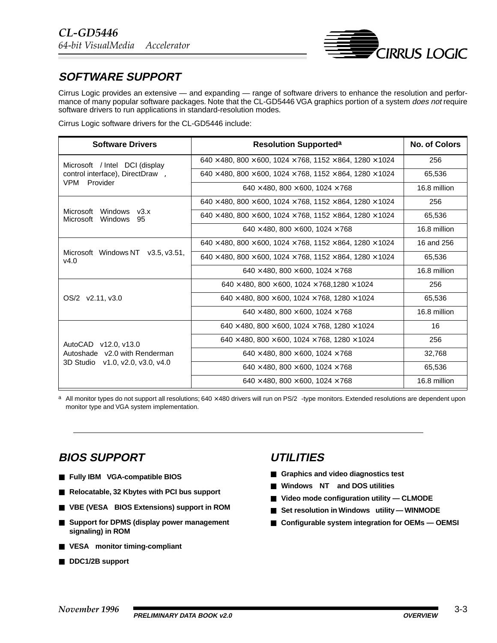

## **SOFTWARE SUPPORT**

Cirrus Logic provides an extensive — and expanding — range of software drivers to enhance the resolution and performance of many popular software packages. Note that the CL-GD5446 VGA graphics portion of a system *does not* require software drivers to run applications in standard-resolution modes.

Cirrus Logic software drivers for the CL-GD5446 include:

| <b>Software Drivers</b>                                                                            | <b>Resolution Supporteda</b>                                                         | <b>No. of Colors</b> |
|----------------------------------------------------------------------------------------------------|--------------------------------------------------------------------------------------|----------------------|
| Microsoft <sup>®</sup> / Intel <sup>®</sup> DCI (display                                           | $640 \times 480, 800 \times 600, 1024 \times 768, 1152 \times 864, 1280 \times 1024$ | 256                  |
| control interface), DirectDraw™,                                                                   | $640 \times 480, 800 \times 600, 1024 \times 768, 1152 \times 864, 1280 \times 1024$ | 65,536               |
| VPM™ Provider                                                                                      | $640 \times 480, 800 \times 600, 1024 \times 768$                                    | 16.8 million         |
|                                                                                                    | $640 \times 480, 800 \times 600, 1024 \times 768, 1152 \times 864, 1280 \times 1024$ | 256                  |
| Microsoft <sup>®</sup> Windows <sup>®</sup> v3.x<br>Microsoft <sup>®</sup> Windows <sup>®</sup> 95 | $640 \times 480, 800 \times 600, 1024 \times 768, 1152 \times 864, 1280 \times 1024$ | 65,536               |
|                                                                                                    | $640 \times 480.800 \times 600.1024 \times 768$                                      | 16.8 million         |
| Microsoft <sup>®</sup> Windows NT™ v3.5, v3.51,<br>v4.0                                            | $640 \times 480, 800 \times 600, 1024 \times 768, 1152 \times 864, 1280 \times 1024$ | 16 and 256           |
|                                                                                                    | $640 \times 480, 800 \times 600, 1024 \times 768, 1152 \times 864, 1280 \times 1024$ | 65.536               |
|                                                                                                    | $640 \times 480.800 \times 600.1024 \times 768$                                      | 16.8 million         |
|                                                                                                    | $640 \times 480.800 \times 600.1024 \times 768.1280 \times 1024$                     | 256                  |
| $OS/2^{\circledR}$ v2.11, v3.0                                                                     | $640 \times 480.800 \times 600.1024 \times 768.1280 \times 1024$                     | 65.536               |
|                                                                                                    | $640 \times 480$ , $800 \times 600$ , $1024 \times 768$                              | 16.8 million         |
|                                                                                                    | $640 \times 480$ , $800 \times 600$ , $1024 \times 768$ , $1280 \times 1024$         | 16                   |
| AutoCAD <sup>®</sup> v12.0. v13.0                                                                  | $640 \times 480$ , $800 \times 600$ , $1024 \times 768$ , $1280 \times 1024$         | 256                  |
| Autoshade <sup>®</sup> v2.0 with Renderman                                                         | $640 \times 480, 800 \times 600, 1024 \times 768$                                    | 32,768               |
| 3D Studio <sup>™</sup> v1.0, v2.0, v3.0, v4.0                                                      | $640 \times 480, 800 \times 600, 1024 \times 768$                                    | 65,536               |
|                                                                                                    | $640 \times 480, 800 \times 600, 1024 \times 768$                                    | 16.8 million         |

a All monitor types do not support all resolutions;  $640 \times 480$  drivers will run on  $PS/2^{\circledast}$ -type monitors. Extended resolutions are dependent upon monitor type and VGA system implementation.

### **BIOS SUPPORT**

- **Fully IBM<sup>®</sup> VGA-compatible BIOS**
- **Relocatable, 32 Kbytes with PCI bus support**
- VBE (VESA<sup>®</sup> BIOS Extensions) support in ROM
- **Support for DPMS (display power management signaling) in ROM**
- VESA<sup>®</sup> monitor timing-compliant
- **DDC1/2B** support

### **UTILITIES**

- **Graphics and video diagnostics test**
- Windows<sup>®</sup> NT<sup>™</sup> and DOS utilities
- Video mode configuration utility CLMODE
- Set resolution in Windows<sup>®</sup> utility WINMODE
- Configurable system integration for OEMs OEMSI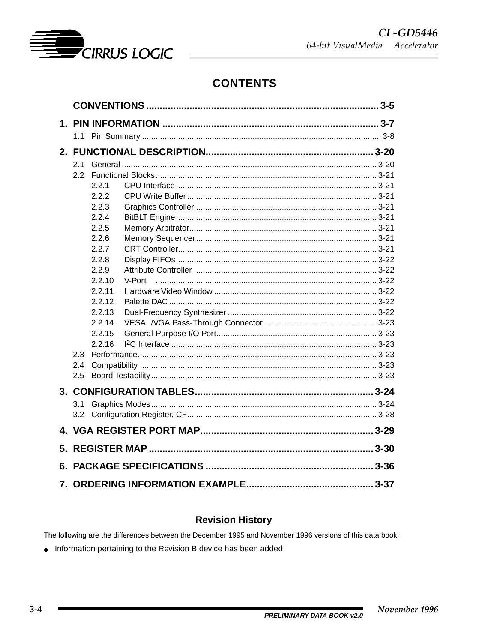

# **CONTENTS**

|    | 2.1 |                |  |
|----|-----|----------------|--|
|    | 2.2 |                |  |
|    |     | 2.2.1          |  |
|    |     | 2.2.2          |  |
|    |     | 2.2.3          |  |
|    |     | 2.2.4          |  |
|    |     | 2.2.5          |  |
|    |     | 2.2.6<br>2.2.7 |  |
|    |     | 2.2.8          |  |
|    |     | 2.2.9          |  |
|    |     | 2.2.10         |  |
|    |     | 2.2.11         |  |
|    |     | 2.2.12         |  |
|    |     | 2.2.13         |  |
|    |     | 2.2.14         |  |
|    |     | 2.2.15         |  |
|    |     | 2.2.16         |  |
|    | 2.3 |                |  |
|    | 2.4 |                |  |
|    | 2.5 |                |  |
|    |     |                |  |
|    | 3.1 |                |  |
|    |     |                |  |
|    |     |                |  |
| 5. |     |                |  |
|    |     |                |  |
| 6. |     |                |  |
|    |     |                |  |

### **Revision History**

The following are the differences between the December 1995 and November 1996 versions of this data book:

• Information pertaining to the Revision B device has been added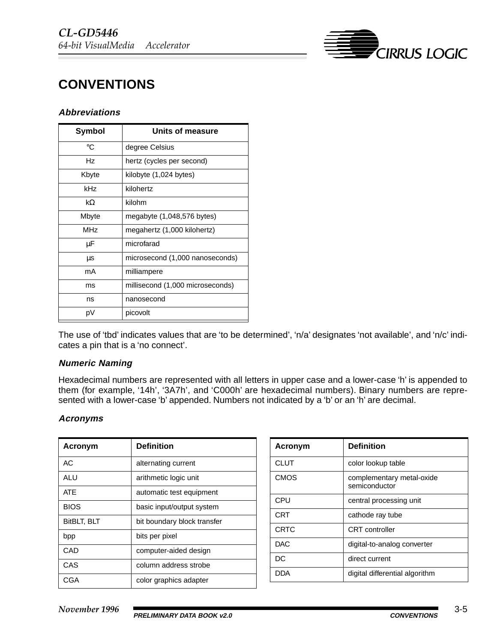

# <span id="page-4-0"></span>**CONVENTIONS**

#### **Abbreviations**

| <b>Symbol</b> | Units of measure                 |
|---------------|----------------------------------|
| °C            | degree Celsius                   |
| Hz            | hertz (cycles per second)        |
| Kbyte         | kilobyte (1,024 bytes)           |
| kHz           | kilohertz                        |
| kΩ            | kilohm                           |
| Mbyte         | megabyte (1,048,576 bytes)       |
| <b>MHz</b>    | megahertz (1,000 kilohertz)      |
| μF            | microfarad                       |
| μs            | microsecond (1,000 nanoseconds)  |
| mA            | milliampere                      |
| ms            | millisecond (1,000 microseconds) |
| ns            | nanosecond                       |
| pV            | picovolt                         |

The use of 'tbd' indicates values that are 'to be determined', 'n/a' designates 'not available', and 'n/c' indicates a pin that is a 'no connect'.

#### **Numeric Naming**

Hexadecimal numbers are represented with all letters in upper case and a lower-case 'h' is appended to them (for example, '14h', '3A7h', and 'C000h' are hexadecimal numbers). Binary numbers are represented with a lower-case 'b' appended. Numbers not indicated by a 'b' or an 'h' are decimal.

#### **Acronyms**

| Acronym            | <b>Definition</b>           |
|--------------------|-----------------------------|
| AC                 | alternating current         |
| ALU                | arithmetic logic unit       |
| <b>ATF</b>         | automatic test equipment    |
| <b>BIOS</b>        | basic input/output system   |
| <b>BitBLT, BLT</b> | bit boundary block transfer |
| bpp                | bits per pixel              |
| CAD                | computer-aided design       |
| CAS                | column address strobe       |
| CGA                | color graphics adapter      |

| Acronym     | <b>Definition</b>                          |
|-------------|--------------------------------------------|
| <b>CLUT</b> | color lookup table                         |
| <b>CMOS</b> | complementary metal-oxide<br>semiconductor |
| CPU         | central processing unit                    |
| <b>CRT</b>  | cathode ray tube                           |
| <b>CRTC</b> | CRT controller                             |
| DAC.        | digital-to-analog converter                |
| DC.         | direct current                             |
| DDA         | digital differential algorithm             |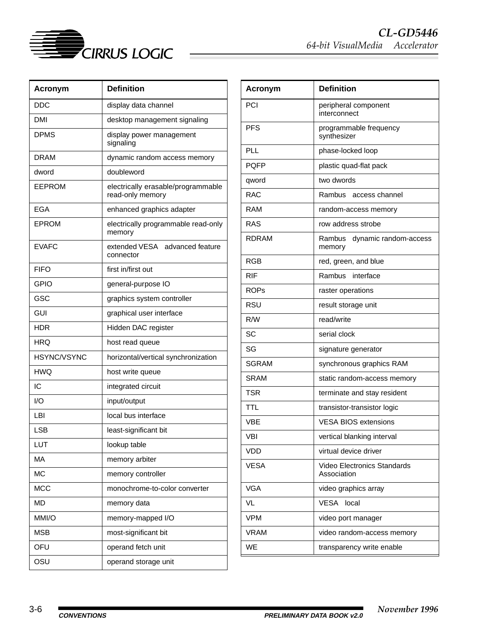

| <b>Acronym</b> | <b>Definition</b>                                      |
|----------------|--------------------------------------------------------|
| DDC            | display data channel                                   |
| <b>DMI</b>     | desktop management signaling                           |
| <b>DPMS</b>    | display power management<br>signaling                  |
| <b>DRAM</b>    | dynamic random access memory                           |
| dword          | doubleword                                             |
| EEPROM         | electrically erasable/programmable<br>read-only memory |
| EGA            | enhanced graphics adapter                              |
| <b>EPROM</b>   | electrically programmable read-only<br>memory          |
| <b>EVAFC</b>   | extended VESA® advanced feature<br>connector           |
| <b>FIFO</b>    | first in/first out                                     |
| GPIO           | general-purpose IO                                     |
| GSC            | graphics system controller                             |
| GUI            | graphical user interface                               |
| HDR            | Hidden DAC register                                    |
| HRQ            | host read queue                                        |
| HSYNC/VSYNC    | horizontal/vertical synchronization                    |
| <b>HWQ</b>     | host write queue                                       |
| IC             | integrated circuit                                     |
| 1/O            | input/output                                           |
| LBI            | local bus interface                                    |
| <b>LSB</b>     | least-significant bit                                  |
| LUT            | lookup table                                           |
| МA             | memory arbiter                                         |
| <b>MC</b>      | memory controller                                      |
| <b>MCC</b>     | monochrome-to-color converter                          |
| <b>MD</b>      | memory data                                            |
| MMI/O          | memory-mapped I/O                                      |
| <b>MSB</b>     | most-significant bit                                   |
| OFU            | operand fetch unit                                     |
| OSU            | operand storage unit                                   |

| <b>Acronym</b> | <b>Definition</b>                                   |
|----------------|-----------------------------------------------------|
| PCI            | peripheral component<br>interconnect                |
| <b>PFS</b>     | programmable frequency<br>synthesizer               |
| PLL            | phase-locked loop                                   |
| POFP           | plastic quad-flat pack                              |
| qword          | two dwords                                          |
| <b>RAC</b>     | Rambus <sup>®</sup> access channel                  |
| RAM            | random-access memory                                |
| RAS            | row address strobe                                  |
| <b>RDRAM</b>   | Rambus <sup>®</sup> dynamic random-access<br>memory |
| RGB            | red, green, and blue                                |
| RIF            | Rambus <sup>®</sup> interface                       |
| <b>ROPs</b>    | raster operations                                   |
| RSU            | result storage unit                                 |
| R/W            | read/write                                          |
| SC             | serial clock                                        |
| SG             | signature generator                                 |
| <b>SGRAM</b>   | synchronous graphics RAM                            |
| <b>SRAM</b>    | static random-access memory                         |
| <b>TSR</b>     | terminate and stay resident                         |
| TTL            | transistor-transistor logic                         |
| VBE            | <b>VESA BIOS extensions</b>                         |
| VBI            | vertical blanking interval                          |
| VDD            | virtual device driver                               |
| <b>VESA®</b>   | Video Electronics Standards<br>Association          |
| <b>VGA</b>     | video graphics array                                |
| VL             | VESA <sup>®</sup> local                             |
| <b>VPM</b>     | video port manager                                  |
| VRAM           | video random-access memory                          |
| WE             | transparency write enable                           |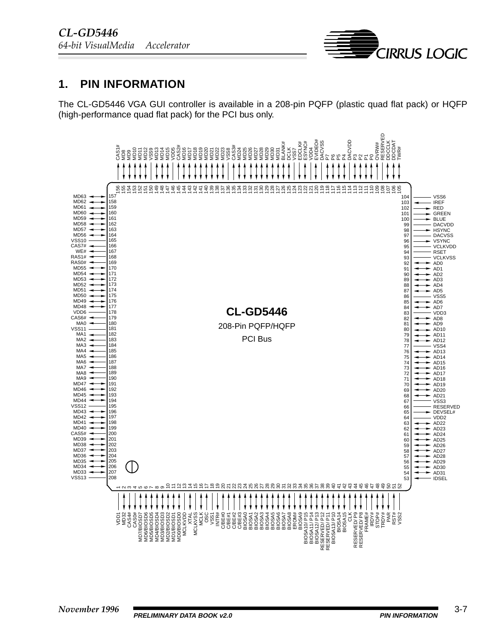

### **1. PIN INFORMATION**

The CL-GD5446 VGA GUI controller is available in a 208-pin PQFP (plastic quad flat pack) or HQFP (high-performance quad flat pack) for the PCI bus only.

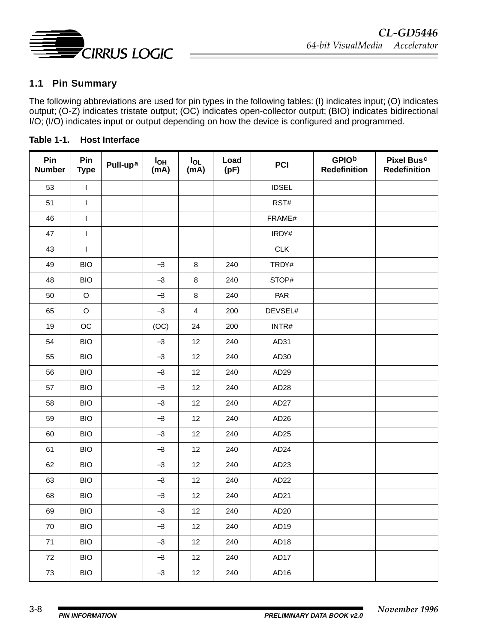

### **1.1 Pin Summary**

The following abbreviations are used for pin types in the following tables: (I) indicates input; (O) indicates output; (O-Z) indicates tristate output; (OC) indicates open-collector output; (BIO) indicates bidirectional I/O; (I/O) indicates input or output depending on how the device is configured and programmed.

| Pin<br><b>Number</b> | Pin<br><b>Type</b> | Pull-up <sup>a</sup> | $I_{OH}$<br>(mA) | $I_{OL}$<br>(mA) | Load<br>(pF) | <b>PCI</b>       | <b>GPIOb</b><br><b>Redefinition</b> | Pixel Busc<br><b>Redefinition</b> |
|----------------------|--------------------|----------------------|------------------|------------------|--------------|------------------|-------------------------------------|-----------------------------------|
| 53                   | $\mathbf{I}$       |                      |                  |                  |              | <b>IDSEL</b>     |                                     |                                   |
| 51                   | $\mathbf{I}$       |                      |                  |                  |              | RST#             |                                     |                                   |
| 46                   | $\sf I$            |                      |                  |                  |              | FRAME#           |                                     |                                   |
| 47                   | $\mathbf{I}$       |                      |                  |                  |              | IRDY#            |                                     |                                   |
| 43                   | $\mathsf{I}$       |                      |                  |                  |              | <b>CLK</b>       |                                     |                                   |
| 49                   | <b>BIO</b>         |                      | $-3$             | $\bf8$           | 240          | TRDY#            |                                     |                                   |
| 48                   | <b>BIO</b>         |                      | $-3$             | $\bf 8$          | 240          | STOP#            |                                     |                                   |
| 50                   | $\mathsf O$        |                      | $-3$             | $\bf 8$          | 240          | PAR              |                                     |                                   |
| 65                   | $\circ$            |                      | $-3$             | $\overline{4}$   | 200          | DEVSEL#          |                                     |                                   |
| 19                   | OC                 |                      | (OC)             | 24               | 200          | INTR#            |                                     |                                   |
| 54                   | <b>BIO</b>         |                      | $-3$             | 12               | 240          | AD31             |                                     |                                   |
| 55                   | <b>BIO</b>         |                      | $-3$             | 12               | 240          | AD30             |                                     |                                   |
| 56                   | <b>BIO</b>         |                      | $-3$             | 12               | 240          | AD <sub>29</sub> |                                     |                                   |
| 57                   | <b>BIO</b>         |                      | $-3$             | 12               | 240          | AD <sub>28</sub> |                                     |                                   |
| 58                   | <b>BIO</b>         |                      | $-3$             | 12               | 240          | AD <sub>27</sub> |                                     |                                   |
| 59                   | <b>BIO</b>         |                      | $-3$             | 12               | 240          | AD <sub>26</sub> |                                     |                                   |
| 60                   | <b>BIO</b>         |                      | $-3$             | 12               | 240          | AD <sub>25</sub> |                                     |                                   |
| 61                   | <b>BIO</b>         |                      | $-3$             | 12               | 240          | AD <sub>24</sub> |                                     |                                   |
| 62                   | <b>BIO</b>         |                      | $-3$             | 12               | 240          | AD <sub>23</sub> |                                     |                                   |
| 63                   | <b>BIO</b>         |                      | $-3$             | 12               | 240          | AD <sub>22</sub> |                                     |                                   |
| 68                   | <b>BIO</b>         |                      | $-3$             | 12               | 240          | AD <sub>21</sub> |                                     |                                   |
| 69                   | <b>BIO</b>         |                      | $-3$             | 12               | 240          | AD <sub>20</sub> |                                     |                                   |
| 70                   | <b>BIO</b>         |                      | $-3$             | 12               | 240          | AD <sub>19</sub> |                                     |                                   |
| 71                   | <b>BIO</b>         |                      | $-3$             | 12               | 240          | AD <sub>18</sub> |                                     |                                   |
| 72                   | <b>BIO</b>         |                      | $-3$             | 12               | 240          | AD17             |                                     |                                   |
| 73                   | <b>BIO</b>         |                      | $-3$             | 12               | 240          | AD <sub>16</sub> |                                     |                                   |

**Table 1-1. Host Interface**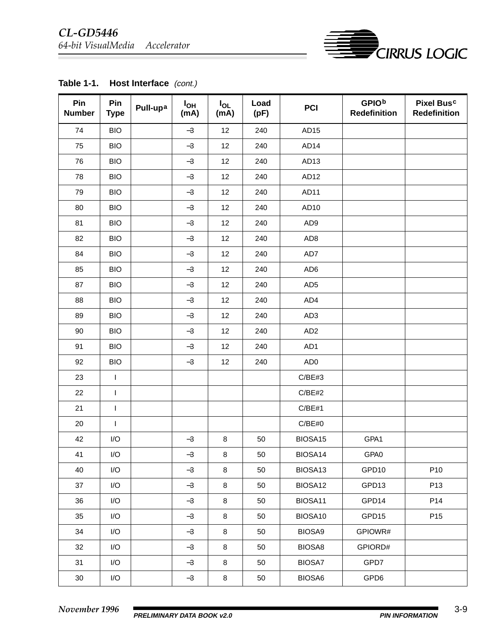### *CL-GD5446 64-bit VisualMedia Accelerator*



| Pin<br><b>Number</b> | Pin<br><b>Type</b>      | Pull-upa | $I_{OH}$<br>(mA) | $I_{OL}$<br>(mA) | Load<br>(pF) | <b>PCI</b>       | <b>GPIOb</b><br><b>Redefinition</b> | <b>Pixel Busc</b><br><b>Redefinition</b> |
|----------------------|-------------------------|----------|------------------|------------------|--------------|------------------|-------------------------------------|------------------------------------------|
| 74                   | <b>BIO</b>              |          | $-3$             | 12               | 240          | AD <sub>15</sub> |                                     |                                          |
| 75                   | <b>BIO</b>              |          | $-3$             | 12               | 240          | AD <sub>14</sub> |                                     |                                          |
| 76                   | <b>BIO</b>              |          | $-3$             | 12               | 240          | AD <sub>13</sub> |                                     |                                          |
| 78                   | <b>BIO</b>              |          | $-3$             | 12               | 240          | AD <sub>12</sub> |                                     |                                          |
| 79                   | <b>BIO</b>              |          | $-3$             | 12               | 240          | AD <sub>11</sub> |                                     |                                          |
| 80                   | <b>BIO</b>              |          | $-3$             | 12               | 240          | AD <sub>10</sub> |                                     |                                          |
| 81                   | <b>BIO</b>              |          | $-3$             | 12               | 240          | AD9              |                                     |                                          |
| 82                   | <b>BIO</b>              |          | $-3$             | 12               | 240          | AD <sub>8</sub>  |                                     |                                          |
| 84                   | <b>BIO</b>              |          | $-3$             | 12               | 240          | AD7              |                                     |                                          |
| 85                   | <b>BIO</b>              |          | $-3$             | 12               | 240          | AD <sub>6</sub>  |                                     |                                          |
| 87                   | <b>BIO</b>              |          | $-3$             | 12               | 240          | AD <sub>5</sub>  |                                     |                                          |
| 88                   | <b>BIO</b>              |          | $-3$             | 12               | 240          | AD4              |                                     |                                          |
| 89                   | <b>BIO</b>              |          | $-3$             | 12               | 240          | AD <sub>3</sub>  |                                     |                                          |
| 90                   | <b>BIO</b>              |          | $-3$             | 12               | 240          | AD <sub>2</sub>  |                                     |                                          |
| 91                   | <b>BIO</b>              |          | $-3$             | 12               | 240          | AD1              |                                     |                                          |
| 92                   | <b>BIO</b>              |          | $-3$             | 12               | 240          | AD <sub>0</sub>  |                                     |                                          |
| 23                   | $\mathsf I$             |          |                  |                  |              | C/BE#3           |                                     |                                          |
| 22                   | $\mathsf{I}$            |          |                  |                  |              | C/BE#2           |                                     |                                          |
| 21                   | $\mathsf{I}$            |          |                  |                  |              | C/BE#1           |                                     |                                          |
| 20                   | $\mathsf{I}$            |          |                  |                  |              | C/BE#0           |                                     |                                          |
| 42                   | $\mathsf{I}/\mathsf{O}$ |          | $-3$             | $\bf 8$          | 50           | BIOSA15          | GPA1                                |                                          |
| 41                   | I/O                     |          | $-3$             | $\bf8$           | 50           | BIOSA14          | GPA0                                |                                          |
| 40                   | I/O                     |          | $-3$             | 8                | 50           | BIOSA13          | GPD10                               | P <sub>10</sub>                          |
| 37                   | I/O                     |          | $-3$             | 8                | 50           | BIOSA12          | GPD13                               | P <sub>13</sub>                          |
| 36                   | I/O                     |          | $-3$             | 8                | 50           | BIOSA11          | GPD14                               | P14                                      |
| 35                   | I/O                     |          | $-3$             | 8                | 50           | BIOSA10          | GPD15                               | P <sub>15</sub>                          |
| 34                   | I/O                     |          | $-3$             | 8                | 50           | BIOSA9           | GPIOWR#                             |                                          |
| 32                   | I/O                     |          | $-3$             | $\bf 8$          | 50           | BIOSA8           | GPIORD#                             |                                          |
| 31                   | I/O                     |          | $-3$             | 8                | 50           | BIOSA7           | GPD7                                |                                          |
| 30                   | I/O                     |          | $-3$             | 8                | 50           | BIOSA6           | GPD6                                |                                          |

### Table 1-1. Host Interface (cont.)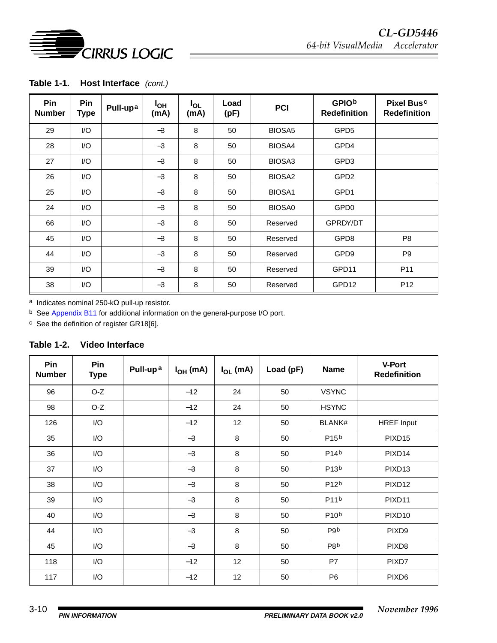

| Table 1-1.<br>Host Interface (cont.) |
|--------------------------------------|
|--------------------------------------|

| Pin<br><b>Number</b> | Pin<br><b>Type</b> | Pull-upa | $I_{OH}$<br>(mA) | $I_{OL}$<br>(mA) | Load<br>(pF) | <b>PCI</b>         | <b>GPIOb</b><br><b>Redefinition</b> | Pixel Busc<br><b>Redefinition</b> |
|----------------------|--------------------|----------|------------------|------------------|--------------|--------------------|-------------------------------------|-----------------------------------|
| 29                   | I/O                |          | $-3$             | 8                | 50           | BIOSA <sub>5</sub> | GPD <sub>5</sub>                    |                                   |
| 28                   | I/O                |          | $-3$             | 8                | 50           | BIOSA4             | GPD4                                |                                   |
| 27                   | I/O                |          | $-3$             | 8                | 50           | BIOSA3             | GPD3                                |                                   |
| 26                   | I/O                |          | $-3$             | 8                | 50           | BIOSA <sub>2</sub> | GPD <sub>2</sub>                    |                                   |
| 25                   | I/O                |          | $-3$             | 8                | 50           | BIOSA1             | GPD1                                |                                   |
| 24                   | I/O                |          | $-3$             | 8                | 50           | <b>BIOSA0</b>      | GPD <sub>0</sub>                    |                                   |
| 66                   | I/O                |          | $-3$             | 8                | 50           | Reserved           | GPRDY/DT                            |                                   |
| 45                   | 1/O                |          | $-3$             | 8                | 50           | Reserved           | GPD8                                | P <sub>8</sub>                    |
| 44                   | 1/O                |          | $-3$             | 8                | 50           | Reserved           | GPD9                                | P <sub>9</sub>                    |
| 39                   | $\mathsf{IO}$      |          | $-3$             | 8                | 50           | Reserved           | GPD11                               | P <sub>11</sub>                   |
| 38                   | I/O                |          | $-3$             | 8                | 50           | Reserved           | GPD12                               | P <sub>12</sub>                   |

a Indicates nominal 250-kΩ pull-up resistor.

b See [Appendix B11](#page--1-0) for additional information on the general-purpose I/O port.

c See the definition of register GR18[6].

| Table 1-2. | <b>Video Interface</b> |
|------------|------------------------|
|------------|------------------------|

| Pin<br><b>Number</b> | Pin<br><b>Type</b> | Pull-up <sup>a</sup> | $I_{OH}$ (mA) | $I_{OL}$ (mA) | Load (pF) | <b>Name</b>       | V-Port™<br><b>Redefinition</b> |
|----------------------|--------------------|----------------------|---------------|---------------|-----------|-------------------|--------------------------------|
| 96                   | $O-Z$              |                      | $-12$         | 24            | 50        | <b>VSYNC</b>      |                                |
| 98                   | O-Z                |                      | $-12$         | 24            | 50        | <b>HSYNC</b>      |                                |
| 126                  | I/O                |                      | $-12$         | 12            | 50        | <b>BLANK#</b>     | <b>HREF Input</b>              |
| 35                   | I/O                |                      | $-3$          | 8             | 50        | P <sub>15</sub> b | PIXD <sub>15</sub>             |
| 36                   | I/O                |                      | $-3$          | 8             | 50        | P14 <sup>b</sup>  | PIXD <sub>14</sub>             |
| 37                   | I/O                |                      | $-3$          | 8             | 50        | P13 <sup>b</sup>  | PIXD <sub>13</sub>             |
| 38                   | I/O                |                      | $-3$          | 8             | 50        | P12 <sup>b</sup>  | PIXD <sub>12</sub>             |
| 39                   | I/O                |                      | $-3$          | 8             | 50        | P11 <sup>b</sup>  | PIXD <sub>11</sub>             |
| 40                   | I/O                |                      | $-3$          | 8             | 50        | P10 <sup>b</sup>  | PIXD <sub>10</sub>             |
| 44                   | I/O                |                      | $-3$          | 8             | 50        | P9 <sub>b</sub>   | PIXD <sub>9</sub>              |
| 45                   | I/O                |                      | $-3$          | 8             | 50        | P8b               | PIXD <sub>8</sub>              |
| 118                  | I/O                |                      | $-12$         | 12            | 50        | P7                | PIXD7                          |
| 117                  | I/O                |                      | $-12$         | 12            | 50        | P <sub>6</sub>    | PIXD <sub>6</sub>              |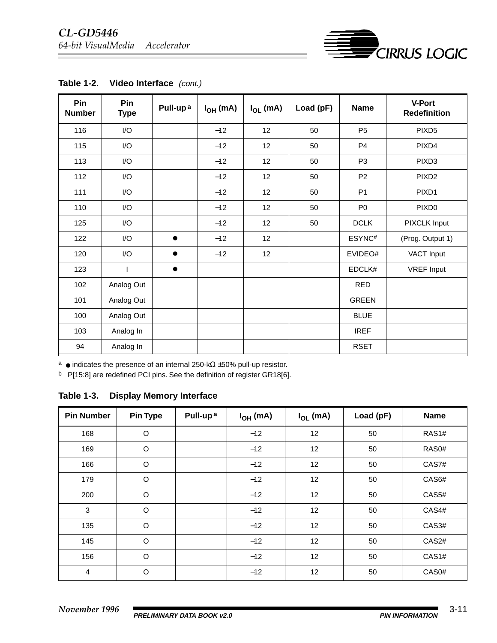

| Table 1-2. |  | Video Interface (cont.) |  |
|------------|--|-------------------------|--|
|------------|--|-------------------------|--|

a ● indicates the presence of an internal 250-kΩ ±50% pull-up resistor.

b P[15:8] are redefined PCI pins. See the definition of register GR18[6].

**Table 1-3. Display Memory Interface**

| <b>Pin Number</b> | <b>Pin Type</b> | Pull-up <sup>a</sup> | $I_{OH}$ (mA) | $I_{OL}$ (mA)   | Load (pF) | <b>Name</b>        |
|-------------------|-----------------|----------------------|---------------|-----------------|-----------|--------------------|
| 168               | $\circ$         |                      | $-12$         | 12              | 50        | RAS1#              |
| 169               | O               |                      | $-12$         | 12              | 50        | RAS <sub>0</sub> # |
| 166               | $\circ$         |                      | $-12$         | 12 <sup>2</sup> | 50        | CAS7#              |
| 179               | $\circ$         |                      | $-12$         | 12              | 50        | CAS6#              |
| 200               | O               |                      | $-12$         | 12              | 50        | CAS5#              |
| 3                 | $\circ$         |                      | $-12$         | 12              | 50        | CAS4#              |
| 135               | $\circ$         |                      | $-12$         | 12              | 50        | CAS3#              |
| 145               | $\circ$         |                      | $-12$         | 12              | 50        | CAS2#              |
| 156               | O               |                      | $-12$         | 12              | 50        | CAS1#              |
| 4                 | O               |                      | $-12$         | 12              | 50        | CAS0#              |

**ED**CIRRUS LOGIC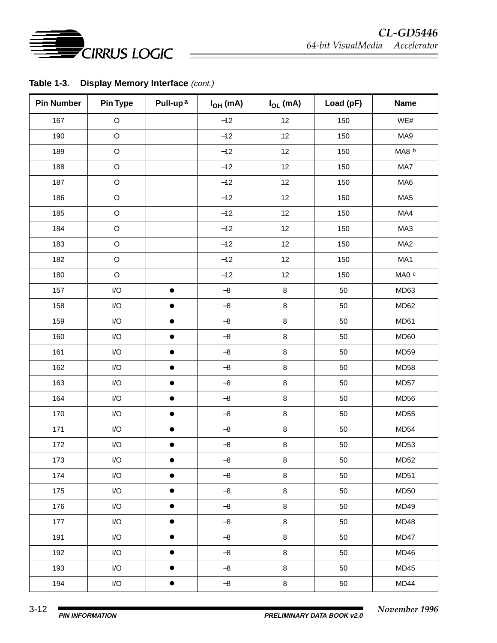

Table 1-3. Display Memory Interface (cont.)

| <b>Pin Number</b> | Pin Type                | Pull-up <sup>a</sup> | $I_{OH}$ (mA)           | $I_{OL}$ (mA) | Load (pF) | <b>Name</b>      |
|-------------------|-------------------------|----------------------|-------------------------|---------------|-----------|------------------|
| 167               | $\mathsf O$             |                      | $-12$                   | 12            | 150       | WE#              |
| 190               | $\circ$                 |                      | $-12$                   | 12            | 150       | MA9              |
| 189               | $\mathsf O$             |                      | $-12$                   | 12            | 150       | MA8 b            |
| 188               | $\hbox{O}$              |                      | $-12$                   | 12            | 150       | MA7              |
| 187               | $\hbox{O}$              |                      | $-12$                   | 12            | 150       | MA6              |
| 186               | $\hbox{O}$              |                      | $-12$                   | 12            | 150       | MA <sub>5</sub>  |
| 185               | $\hbox{O}$              |                      | $-12$                   | 12            | 150       | MA4              |
| 184               | $\hbox{O}$              |                      | $-12$                   | 12            | 150       | MA3              |
| 183               | $\mathsf O$             |                      | $-12$                   | 12            | 150       | MA <sub>2</sub>  |
| 182               | $\hbox{O}$              |                      | $-12$                   | 12            | 150       | MA1              |
| 180               | $\circ$                 |                      | $-12$                   | 12            | 150       | MA0 c            |
| 157               | $\mathsf{I}/\mathsf{O}$ | $\bullet$            | $-8$                    | $\bf 8$       | 50        | MD63             |
| 158               | I/O                     |                      | $-\bf 8$                | $\bf8$        | 50        | MD62             |
| 159               | I/O                     | $\bullet$            | $-8$                    | 8             | 50        | MD61             |
| 160               | $\mathsf{I}/\mathsf{O}$ | $\bullet$            | $-8$                    | 8             | 50        | MD60             |
| 161               | $\mathsf{I}/\mathsf{O}$ | $\bullet$            | $-\bf 8$                | $\bf8$        | 50        | MD59             |
| 162               | $\mathsf{I}/\mathsf{O}$ | $\bullet$            | $-8$                    | $\bf 8$       | 50        | <b>MD58</b>      |
| 163               | I/O                     | $\bullet$            | $\mathord{\text{--}} 8$ | 8             | 50        | MD57             |
| 164               | I/O                     | $\bullet$            | $-\bf 8$                | $\,8\,$       | 50        | MD <sub>56</sub> |
| 170               | I/O                     | $\bullet$            | $-8$                    | $\bf8$        | 50        | <b>MD55</b>      |
| 171               | I/O                     | $\bullet$            | $\mathbf{-8}$           | $\bf8$        | 50        | MD54             |
| 172               | $\mathsf{I}/\mathsf{O}$ | $\bullet$            | $-\bf 8$                | 8             | 50        | MD53             |
| 173               | $\mathsf{I}/\mathsf{O}$ |                      | $-\bf 8$                | 8             | 50        | <b>MD52</b>      |
| 174               | I/O                     | $\bullet$            | $-8$                    | 8             | 50        | <b>MD51</b>      |
| 175               | I/O                     | $\bullet$            | $-8$                    | $\bf 8$       | 50        | <b>MD50</b>      |
| 176               | $\mathsf{I}/\mathsf{O}$ | $\bullet$            | $-8$                    | 8             | 50        | <b>MD49</b>      |
| 177               | I/O                     | $\bullet$            | $-8$                    | $\bf 8$       | 50        | MD48             |
| 191               | $\sf I/O$               | $\bullet$            | $-8$                    | $\bf 8$       | 50        | MD47             |
| 192               | I/O                     | $\bullet$            | $-\bf 8$                | $\bf 8$       | 50        | MD46             |
| 193               | I/O                     | $\bullet$            | $-8$                    | 8             | 50        | MD45             |
| 194               | I/O                     | $\bullet$            | $-\bf 8$                | $\bf 8$       | 50        | MD44             |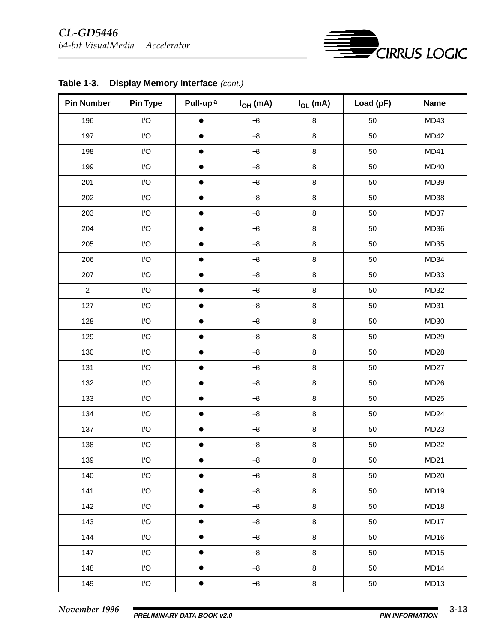

| <b>Pin Number</b> | <b>Pin Type</b>         | Pull-up <sup>a</sup> | $I_{OH}$ (mA) | $I_{OL}$ (mA) | Load (pF) | <b>Name</b>      |
|-------------------|-------------------------|----------------------|---------------|---------------|-----------|------------------|
| 196               | $\mathsf{I}/\mathsf{O}$ | $\bullet$            | $-8$          | $\, 8$        | 50        | MD43             |
| 197               | $\mathsf{I}/\mathsf{O}$ | $\bullet$            | $-8$          | $\,8\,$       | 50        | <b>MD42</b>      |
| 198               | $\mathsf{I}/\mathsf{O}$ | $\bullet$            | $-8$          | $\bf 8$       | 50        | MD41             |
| 199               | $\mathsf{I}/\mathsf{O}$ | $\bullet$            | $-\bf 8$      | $\, 8$        | 50        | <b>MD40</b>      |
| 201               | $\mathsf{I}/\mathsf{O}$ | $\bullet$            | $-\bf 8$      | $\,8\,$       | 50        | MD39             |
| 202               | $\mathsf{I}/\mathsf{O}$ | $\bullet$            | $-\bf 8$      | $\bf8$        | 50        | MD38             |
| 203               | $\mathsf{I}/\mathsf{O}$ | $\bullet$            | $-\bf 8$      | $\bf 8$       | 50        | MD37             |
| 204               | $\mathsf{I}/\mathsf{O}$ | $\bullet$            | $-\bf 8$      | $\,8\,$       | 50        | MD36             |
| 205               | $\mathsf{I}/\mathsf{O}$ | $\bullet$            | $-8$          | $\bf 8$       | 50        | MD35             |
| 206               | $\mathsf{I}/\mathsf{O}$ | $\bullet$            | $-8$          | $\bf 8$       | 50        | MD34             |
| 207               | $\mathsf{I}/\mathsf{O}$ | $\bullet$            | $-\bf 8$      | $\,8\,$       | 50        | MD33             |
| $\overline{2}$    | $\mathsf{I}/\mathsf{O}$ | $\bullet$            | $-\bf 8$      | $\bf 8$       | 50        | MD32             |
| 127               | $\mathsf{I}/\mathsf{O}$ | $\bullet$            | $-\bf 8$      | $\bf 8$       | 50        | MD31             |
| 128               | $\mathsf{I}/\mathsf{O}$ | $\bullet$            | $-\bf 8$      | $\, 8$        | 50        | MD30             |
| 129               | $\mathsf{I}/\mathsf{O}$ | $\bullet$            | $-8$          | $\bf 8$       | 50        | MD <sub>29</sub> |
| 130               | $\mathsf{I}/\mathsf{O}$ | $\bullet$            | $-\bf 8$      | $\, 8$        | 50        | MD <sub>28</sub> |
| 131               | $\mathsf{I}/\mathsf{O}$ | $\bullet$            | $-\bf 8$      | $\, 8$        | 50        | MD <sub>27</sub> |
| 132               | $\mathsf{I}/\mathsf{O}$ | $\bullet$            | $-\bf 8$      | $\bf 8$       | 50        | MD <sub>26</sub> |
| 133               | $\mathsf{I}/\mathsf{O}$ | $\bullet$            | $-\bf 8$      | $\bf 8$       | 50        | MD <sub>25</sub> |
| 134               | $\mathsf{I}/\mathsf{O}$ | $\bullet$            | $-\bf 8$      | $\, 8$        | 50        | MD <sub>24</sub> |
| 137               | $\mathsf{I}/\mathsf{O}$ | $\bullet$            | $-\bf 8$      | $\bf 8$       | 50        | MD <sub>23</sub> |
| 138               | $\mathsf{I}/\mathsf{O}$ | $\bullet$            | $-\bf 8$      | $\, 8$        | 50        | MD <sub>22</sub> |
| 139               | I/O                     |                      | $-8$          | $\bf 8$       | 50        | MD21             |
| 140               | I/O                     | $\bullet$            | $-8$          | $\bf 8$       | 50        | <b>MD20</b>      |
| 141               | I/O                     | $\bullet$            | $-8$          | $\bf 8$       | 50        | MD19             |
| 142               | I/O                     | $\bullet$            | $-8$          | $\bf 8$       | 50        | MD18             |
| 143               | I/O                     | $\bullet$            | $-8$          | $\bf8$        | 50        | MD17             |
| 144               | I/O                     | $\bullet$            | $-8$          | $\bf 8$       | 50        | MD16             |
| 147               | I/O                     | $\bullet$            | $-8$          | 8             | 50        | MD15             |
| 148               | I/O                     | $\bullet$            | $-8$          | $\bf 8$       | 50        | MD14             |
| 149               | $\mathsf{I}/\mathsf{O}$ | $\bullet$            | $-8$          | $\bf 8$       | 50        | MD13             |

Table 1-3. Display Memory Interface (cont.)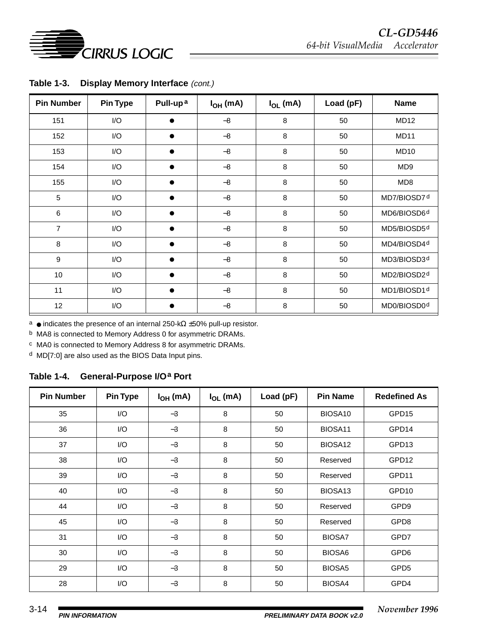

| <b>Pin Number</b> | <b>Pin Type</b> | Pull-up <sup>a</sup> | $I_{OH}$ (mA) | $I_{OL}$ (mA) | Load (pF) | <b>Name</b>             |
|-------------------|-----------------|----------------------|---------------|---------------|-----------|-------------------------|
| 151               | I/O             | $\bullet$            | $-8$          | 8             | 50        | <b>MD12</b>             |
| 152               | I/O             |                      | $-8$          | 8             | 50        | MD <sub>11</sub>        |
| 153               | I/O             | ●                    | $-8$          | 8             | 50        | MD <sub>10</sub>        |
| 154               | I/O             | $\bullet$            | $-8$          | 8             | 50        | MD <sub>9</sub>         |
| 155               | I/O             | $\bullet$            | $-8$          | 8             | 50        | MD <sub>8</sub>         |
| $\overline{5}$    | I/O             |                      | $-8$          | 8             | 50        | MD7/BIOSD7 <sup>d</sup> |
| 6                 | I/O             | ●                    | $-8$          | 8             | 50        | MD6/BIOSD6 <sup>d</sup> |
| $\overline{7}$    | I/O             | ●                    | $-8$          | 8             | 50        | MD5/BIOSD5d             |
| 8                 | I/O             | ●                    | $-8$          | 8             | 50        | MD4/BIOSD4 <sup>d</sup> |
| 9                 | I/O             |                      | $-8$          | 8             | 50        | MD3/BIOSD3d             |
| 10                | I/O             |                      | $-8$          | 8             | 50        | MD2/BIOSD2d             |
| 11                | I/O             | ●                    | $-8$          | 8             | 50        | MD1/BIOSD1d             |
| 12                | I/O             |                      | $-8$          | 8             | 50        | MD0/BIOSD0 <sup>d</sup> |

Table 1-3. Display Memory Interface (cont.)

a ● indicates the presence of an internal 250-kΩ ±50% pull-up resistor.

b MA8 is connected to Memory Address 0 for asymmetric DRAMs.

c MA0 is connected to Memory Address 8 for asymmetric DRAMs.

d MD[7:0] are also used as the BIOS Data Input pins.

#### **Table 1-4. General-Purpose I/Oa Port**

| <b>Pin Number</b> | <b>Pin Type</b> | $I_{OH}$ (mA) | $I_{OL}$ (mA) | Load (pF) | <b>Pin Name</b>     | <b>Redefined As</b> |
|-------------------|-----------------|---------------|---------------|-----------|---------------------|---------------------|
| 35                | I/O             | $-3$          | 8             | 50        | BIOSA10             | GPD15               |
| 36                | I/O             | $-3$          | 8             | 50        | BIOSA11             | GPD14               |
| 37                | I/O             | $-3$          | 8             | 50        | BIOSA12             | GPD13               |
| 38                | I/O             | $-3$          | 8             | 50        | Reserved            | GPD12               |
| 39                | I/O             | $-3$          | 8             | 50        | Reserved            | GPD11               |
| 40                | I/O             | $-3$          | 8             | 50        | BIOSA <sub>13</sub> | GPD10               |
| 44                | I/O             | $-3$          | 8             | 50        | Reserved            | GPD <sub>9</sub>    |
| 45                | I/O             | $-3$          | 8             | 50        | Reserved            | GPD8                |
| 31                | I/O             | $-3$          | 8             | 50        | <b>BIOSA7</b>       | GPD7                |
| 30                | I/O             | $-3$          | 8             | 50        | BIOSA6              | GPD6                |
| 29                | I/O             | $-3$          | 8             | 50        | BIOSA <sub>5</sub>  | GPD <sub>5</sub>    |
| 28                | I/O             | $-3$          | 8             | 50        | BIOSA4              | GPD4                |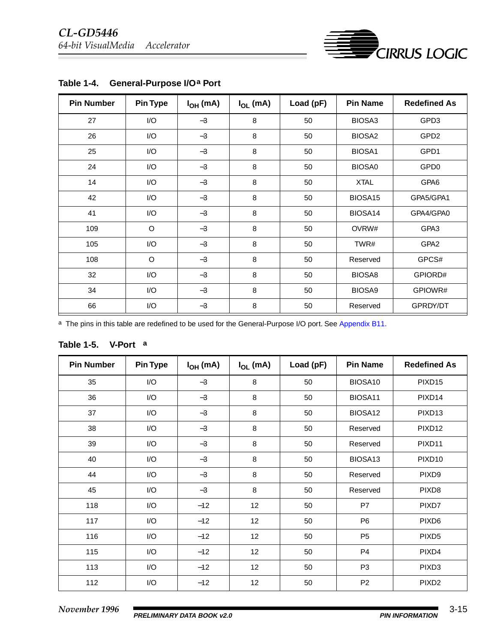

| <b>Pin Number</b> | <b>Pin Type</b> | $I_{OH}$ (mA) | $I_{OL}$ (mA) | Load (pF) | <b>Pin Name</b>    | <b>Redefined As</b> |
|-------------------|-----------------|---------------|---------------|-----------|--------------------|---------------------|
| 27                | I/O             | $-3$          | 8             | 50        | BIOSA3             | GPD3                |
| 26                | I/O             | $-3$          | 8             | 50        | BIOSA <sub>2</sub> | GPD <sub>2</sub>    |
| 25                | I/O             | $-3$          | 8             | 50        | BIOSA1             | GPD1                |
| 24                | I/O             | $-3$          | 8             | 50        | <b>BIOSA0</b>      | GPD <sub>0</sub>    |
| 14                | I/O             | $-3$          | 8             | 50        | <b>XTAL</b>        | GPA6                |
| 42                | I/O             | $-3$          | 8             | 50        | BIOSA15            | GPA5/GPA1           |
| 41                | I/O             | $-3$          | 8             | 50        | BIOSA14            | GPA4/GPA0           |
| 109               | O               | $-3$          | 8             | 50        | OVRW#              | GPA3                |
| 105               | I/O             | $-3$          | 8             | 50        | TWR#               | GPA <sub>2</sub>    |
| 108               | O               | $-3$          | 8             | 50        | Reserved           | GPCS#               |
| 32                | I/O             | $-3$          | 8             | 50        | BIOSA8             | GPIORD#             |
| 34                | I/O             | $-3$          | 8             | 50        | BIOSA9             | GPIOWR#             |
| 66                | I/O             | $-3$          | 8             | 50        | Reserved           | GPRDY/DT            |

### Table 1-4. General-Purpose I/O<sup>a</sup> Port

a The pins in this table are redefined to be used for the General-Purpose I/O port. See [Appendix B11](#page--1-0).

| <b>Table 1-5.</b> | V-Port™a |
|-------------------|----------|
|-------------------|----------|

| <b>Pin Number</b> | <b>Pin Type</b> | $I_{OH}$ (mA) | $I_{OL}$ (mA)   | Load (pF) | <b>Pin Name</b>     | <b>Redefined As</b> |
|-------------------|-----------------|---------------|-----------------|-----------|---------------------|---------------------|
| 35                | I/O             | $-3$          | 8               | 50        | BIOSA10             | PIXD <sub>15</sub>  |
| 36                | I/O             | $-3$          | 8               | 50        | BIOSA11             | PIXD14              |
| 37                | I/O             | $-3$          | 8               | 50        | BIOSA12             | PIXD <sub>13</sub>  |
| 38                | I/O             | $-3$          | 8               | 50        | Reserved            | PIXD12              |
| 39                | I/O             | $-3$          | 8               | 50        | Reserved            | PIXD <sub>11</sub>  |
| 40                | I/O             | $-3$          | 8               | 50        | BIOSA <sub>13</sub> | PIXD <sub>10</sub>  |
| 44                | I/O             | $-3$          | 8               | 50        | Reserved            | PIXD <sub>9</sub>   |
| 45                | I/O             | $-3$          | 8               | 50        | Reserved            | PIXD <sub>8</sub>   |
| 118               | I/O             | $-12$         | 12              | 50        | P7                  | PIXD7               |
| 117               | I/O             | $-12$         | 12              | 50        | P <sub>6</sub>      | PIXD <sub>6</sub>   |
| 116               | I/O             | $-12$         | 12 <sub>2</sub> | 50        | P <sub>5</sub>      | PIXD <sub>5</sub>   |
| 115               | I/O             | $-12$         | 12              | 50        | P <sub>4</sub>      | PIXD4               |
| 113               | I/O             | $-12$         | 12              | 50        | P <sub>3</sub>      | PIXD <sub>3</sub>   |
| 112               | I/O             | $-12$         | 12              | 50        | P <sub>2</sub>      | PIXD <sub>2</sub>   |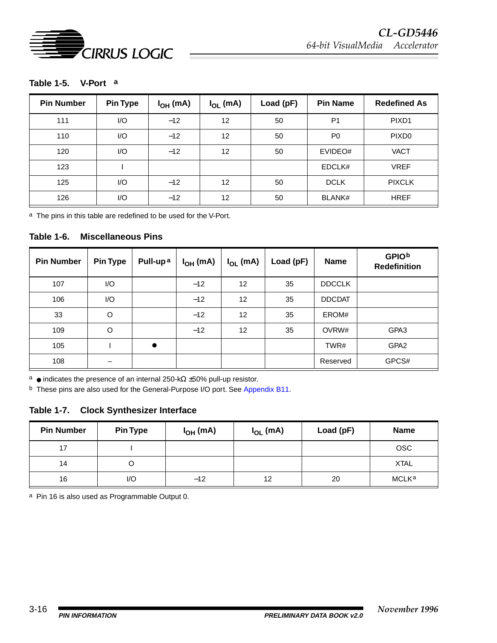

#### **Table 1-5. V-Porta**

| <b>Pin Number</b> | <b>Pin Type</b> | $I_{OH}$ (mA) | $I_{OL}$ (mA) | Load (pF) | <b>Pin Name</b> | <b>Redefined As</b> |
|-------------------|-----------------|---------------|---------------|-----------|-----------------|---------------------|
| 111               | I/O             | $-12$         | 12            | 50        | P <sub>1</sub>  | PIXD <sub>1</sub>   |
| 110               | 1/O             | $-12$         | 12            | 50        | P <sub>0</sub>  | PIXD <sub>0</sub>   |
| 120               | I/O             | $-12$         | 12            | 50        | EVIDEO#         | <b>VACT</b>         |
| 123               |                 |               |               |           | EDCLK#          | <b>VREF</b>         |
| 125               | I/O             | $-12$         | 12            | 50        | <b>DCLK</b>     | <b>PIXCLK</b>       |
| 126               | 1/O             | $-12$         | 12            | 50        | <b>BLANK#</b>   | <b>HREF</b>         |

a The pins in this table are redefined to be used for the V-Port.

#### **Table 1-6. Miscellaneous Pins**

| <b>Pin Number</b> | <b>Pin Type</b> | Pull-up <sup>a</sup> | $I_{OH}$ (mA) | $I_{OL}$ (mA)     | Load (pF) | <b>Name</b>   | <b>GPIOb</b><br><b>Redefinition</b> |
|-------------------|-----------------|----------------------|---------------|-------------------|-----------|---------------|-------------------------------------|
| 107               | 1/O             |                      | $-12$         | $12 \overline{ }$ | 35        | <b>DDCCLK</b> |                                     |
| 106               | 1/O             |                      | $-12$         | 12                | 35        | <b>DDCDAT</b> |                                     |
| 33                | $\circ$         |                      | $-12$         | 12                | 35        | EROM#         |                                     |
| 109               | O               |                      | $-12$         | 12                | 35        | OVRW#         | GPA3                                |
| 105               |                 | $\bullet$            |               |                   |           | TWR#          | GPA <sub>2</sub>                    |
| 108               |                 |                      |               |                   |           | Reserved      | GPCS#                               |

a ● indicates the presence of an internal 250-kΩ ±50% pull-up resistor.

b These pins are also used for the General-Purpose I/O port. See [Appendix B11](#page--1-0).

#### **Table 1-7. Clock Synthesizer Interface**

| <b>Pin Number</b> | <b>Pin Type</b> | $I_{OH}$ (mA) | $I_{OL}$ (mA) | Load (pF) | <b>Name</b> |
|-------------------|-----------------|---------------|---------------|-----------|-------------|
| 17                |                 |               |               |           | <b>OSC</b>  |
| 14                |                 |               |               |           | <b>XTAL</b> |
| 16                | I/O             | $-12$         | 12            | 20        | MCLKa       |

a Pin 16 is also used as Programmable Output 0.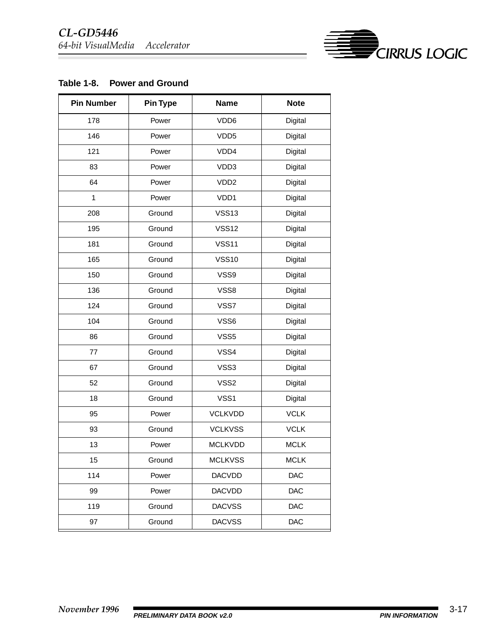

#### **Table 1-8. Power and Ground**

| <b>Pin Number</b> | <b>Pin Type</b> | <b>Name</b>      | <b>Note</b> |
|-------------------|-----------------|------------------|-------------|
| 178               | Power           | VDD6             | Digital     |
| 146               | Power           | VDD <sub>5</sub> | Digital     |
| 121               | Power           | VDD4             | Digital     |
| 83                | Power           | VDD3             | Digital     |
| 64                | Power           | VDD <sub>2</sub> | Digital     |
| $\mathbf{1}$      | Power           | VDD1             | Digital     |
| 208               | Ground          | <b>VSS13</b>     | Digital     |
| 195               | Ground          | <b>VSS12</b>     | Digital     |
| 181               | Ground          | <b>VSS11</b>     | Digital     |
| 165               | Ground          | <b>VSS10</b>     | Digital     |
| 150               | Ground          | VSS9             | Digital     |
| 136               | Ground          | VSS8             | Digital     |
| 124               | Ground          | VSS7             | Digital     |
| 104               | Ground          | VSS6             | Digital     |
| 86                | Ground          | VSS5             | Digital     |
| 77                | Ground          | VSS4             | Digital     |
| 67                | Ground          | VSS3             | Digital     |
| 52                | Ground          | VSS2             | Digital     |
| 18                | Ground          | VSS1             | Digital     |
| 95                | Power           | <b>VCLKVDD</b>   | <b>VCLK</b> |
| 93                | Ground          | <b>VCLKVSS</b>   | <b>VCLK</b> |
| 13                | Power           | <b>MCLKVDD</b>   | <b>MCLK</b> |
| 15                | Ground          | <b>MCLKVSS</b>   | <b>MCLK</b> |
| 114               | Power           | <b>DACVDD</b>    | DAC         |
| 99                | Power           | <b>DACVDD</b>    | <b>DAC</b>  |
| 119               | Ground          | <b>DACVSS</b>    | <b>DAC</b>  |
| 97                | Ground          | <b>DACVSS</b>    | DAC         |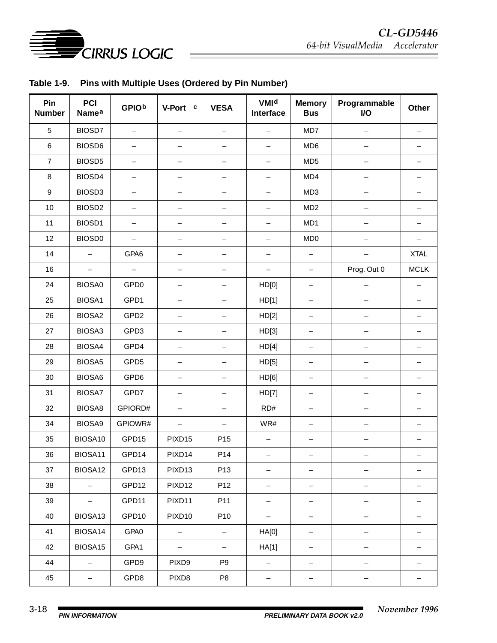

|  | Table 1-9. Pins with Multiple Uses (Ordered by Pin Number) |  |
|--|------------------------------------------------------------|--|
|--|------------------------------------------------------------|--|

| Pin<br><b>Number</b> | PCI<br><b>Namea</b>      | <b>GPIOb</b>             | V-Port™c                 | <b>VESA®</b>             | <b>VMId</b><br>Interface | <b>Memory</b><br><b>Bus</b> | Programmable<br>I/O | Other                    |
|----------------------|--------------------------|--------------------------|--------------------------|--------------------------|--------------------------|-----------------------------|---------------------|--------------------------|
| $\sqrt{5}$           | BIOSD7                   | —                        |                          | —                        |                          | MD7                         |                     |                          |
| $\,6$                | BIOSD6                   | -                        |                          | —                        | -                        | MD <sub>6</sub>             |                     | —                        |
| $\overline{7}$       | BIOSD5                   | -                        | —                        | —                        | -                        | MD <sub>5</sub>             |                     | —                        |
| 8                    | BIOSD4                   | -                        |                          | -                        | -                        | MD4                         |                     |                          |
| $\boldsymbol{9}$     | BIOSD3                   | —                        | —                        | -                        | $\qquad \qquad -$        | MD <sub>3</sub>             | $\qquad \qquad -$   | —                        |
| 10                   | BIOSD <sub>2</sub>       | $\overline{\phantom{0}}$ | -                        | $\overline{\phantom{0}}$ | $\qquad \qquad -$        | MD <sub>2</sub>             |                     | —                        |
| 11                   | BIOSD1                   | —                        | -                        | -                        | -                        | MD1                         |                     | -                        |
| 12                   | BIOSD <sub>0</sub>       | $\overline{\phantom{0}}$ | -                        | —                        | —                        | MD <sub>0</sub>             |                     | $\overline{\phantom{0}}$ |
| 14                   | $\overline{\phantom{0}}$ | GPA6                     | -                        | —                        | —                        | $\overline{\phantom{m}}$    |                     | <b>XTAL</b>              |
| 16                   | $\qquad \qquad -$        | $\qquad \qquad -$        | -                        | -                        | -                        | $\qquad \qquad -$           | Prog. Out 0         | <b>MCLK</b>              |
| 24                   | BIOSA0                   | GPD <sub>0</sub>         | —                        | $\overline{\phantom{0}}$ | HD[0]                    | $\qquad \qquad -$           |                     | $\overline{\phantom{0}}$ |
| 25                   | BIOSA1                   | GPD1                     | $\qquad \qquad -$        | $\qquad \qquad -$        | HD[1]                    | $\overline{\phantom{m}}$    |                     | $\overline{\phantom{0}}$ |
| 26                   | BIOSA2                   | GPD <sub>2</sub>         |                          | —                        | HD[2]                    | -                           |                     |                          |
| 27                   | BIOSA3                   | GPD3                     | -                        | —                        | HD[3]                    | -                           |                     | -                        |
| 28                   | BIOSA4                   | GPD4                     | -                        | -                        | HD[4]                    | $\qquad \qquad -$           |                     | -                        |
| 29                   | BIOSA5                   | GPD <sub>5</sub>         |                          | -                        | HD[5]                    | $\qquad \qquad -$           |                     |                          |
| 30                   | BIOSA6                   | GPD6                     | -                        | $\overline{\phantom{0}}$ | HD[6]                    | $\qquad \qquad -$           | —                   | —                        |
| 31                   | <b>BIOSA7</b>            | GPD7                     | -                        | —                        | HD[7]                    | $\overline{\phantom{0}}$    |                     | —                        |
| 32                   | BIOSA8                   | GPIORD#                  | —                        | -                        | RD#                      | -                           |                     |                          |
| 34                   | BIOSA9                   | GPIOWR#                  | $\overline{\phantom{0}}$ | -                        | WR#                      | -                           |                     | -                        |
| 35                   | BIOSA10                  | GPD15                    | PIXD15                   | P <sub>15</sub>          |                          |                             |                     |                          |
| 36                   | BIOSA11                  | GPD14                    | PIXD <sub>14</sub>       | P14                      | -                        |                             |                     |                          |
| 37                   | BIOSA12                  | GPD13                    | PIXD <sub>13</sub>       | P <sub>13</sub>          | -                        | $\overline{\phantom{a}}$    | $\qquad \qquad -$   | -                        |
| 38                   | $\overline{\phantom{0}}$ | GPD12                    | PIXD12                   | P12                      | $\qquad \qquad -$        | $\qquad \qquad -$           | $\qquad \qquad -$   | —                        |
| 39                   |                          | GPD11                    | PIXD11                   | P11                      | -                        | -                           |                     | —                        |
| 40                   | BIOSA13                  | GPD10                    | PIXD <sub>10</sub>       | P <sub>10</sub>          | -                        | -                           |                     | -                        |
| 41                   | BIOSA14                  | GPA0                     | $\qquad \qquad -$        | -                        | HA[0]                    | $\qquad \qquad -$           |                     | —                        |
| 42                   | BIOSA15                  | GPA1                     | $\qquad \qquad -$        | -                        | HA[1]                    | $\qquad \qquad -$           | -                   | —                        |
| 44                   | $\qquad \qquad -$        | GPD9                     | PIXD9                    | P <sub>9</sub>           | -                        | $\qquad \qquad -$           | -                   | —                        |
| 45                   | —                        | GPD8                     | PIXD8                    | P <sub>8</sub>           | —                        |                             |                     |                          |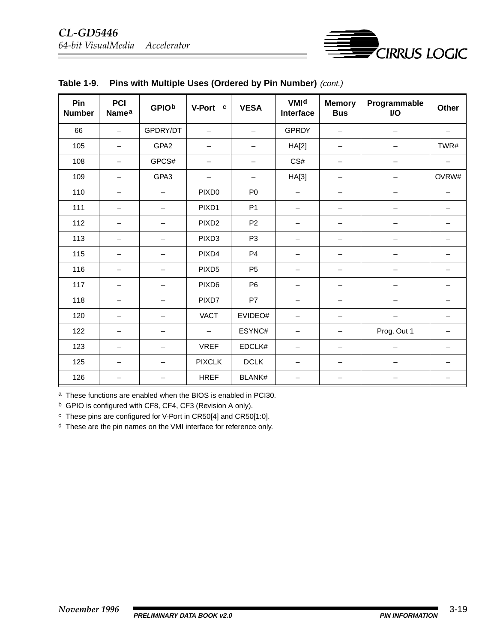

| Pin<br><b>Number</b> | <b>PCI</b><br><b>Namea</b> | <b>GPIOb</b> | V-Port™c                 | <b>VESA®</b>   | <b>VMId</b><br>Interface | <b>Memory</b><br><b>Bus</b> | Programmable<br>I/O | Other |
|----------------------|----------------------------|--------------|--------------------------|----------------|--------------------------|-----------------------------|---------------------|-------|
| 66                   |                            | GPDRY/DT     | $\overline{\phantom{0}}$ |                | <b>GPRDY</b>             | $\overline{\phantom{0}}$    |                     |       |
| 105                  | $\qquad \qquad$            | GPA2         | —                        |                | HA[2]                    |                             |                     | TWR#  |
| 108                  | —                          | GPCS#        |                          |                | CS#                      | —                           |                     |       |
| 109                  |                            | GPA3         |                          |                | HA[3]                    | -                           |                     | OVRW# |
| 110                  |                            |              | PIXD <sub>0</sub>        | P <sub>0</sub> |                          | $\overline{\phantom{0}}$    |                     | —     |
| 111                  |                            |              | PIXD1                    | P <sub>1</sub> | —                        | -                           |                     |       |
| 112                  | —                          | —            | PIXD <sub>2</sub>        | P <sub>2</sub> | —                        | —                           |                     |       |
| 113                  | —                          |              | PIXD <sub>3</sub>        | P <sub>3</sub> | —                        | —                           |                     |       |
| 115                  |                            |              | PIXD4                    | P <sub>4</sub> |                          |                             |                     |       |
| 116                  | —                          |              | PIXD <sub>5</sub>        | P <sub>5</sub> | —                        | $\overline{\phantom{0}}$    |                     |       |
| 117                  |                            |              | PIXD <sub>6</sub>        | P <sub>6</sub> |                          | -                           |                     |       |
| 118                  |                            |              | PIXD7                    | P7             |                          |                             |                     |       |
| 120                  |                            |              | <b>VACT</b>              | EVIDEO#        |                          |                             |                     |       |
| 122                  |                            |              |                          | ESYNC#         |                          |                             | Prog. Out 1         |       |
| 123                  |                            |              | <b>VREF</b>              | EDCLK#         |                          |                             |                     |       |
| 125                  |                            |              | <b>PIXCLK</b>            | <b>DCLK</b>    |                          |                             |                     |       |
| 126                  |                            |              | <b>HREF</b>              | <b>BLANK#</b>  |                          |                             |                     |       |

|  | Table 1-9. Pins with Multiple Uses (Ordered by Pin Number) (cont.) |  |  |  |
|--|--------------------------------------------------------------------|--|--|--|
|--|--------------------------------------------------------------------|--|--|--|

a These functions are enabled when the BIOS is enabled in PCI30.

b GPIO is configured with CF8, CF4, CF3 (Revision A only).

c These pins are configured for V-Port in CR50[4] and CR50[1:0].

d These are the pin names on the VMI interface for reference only.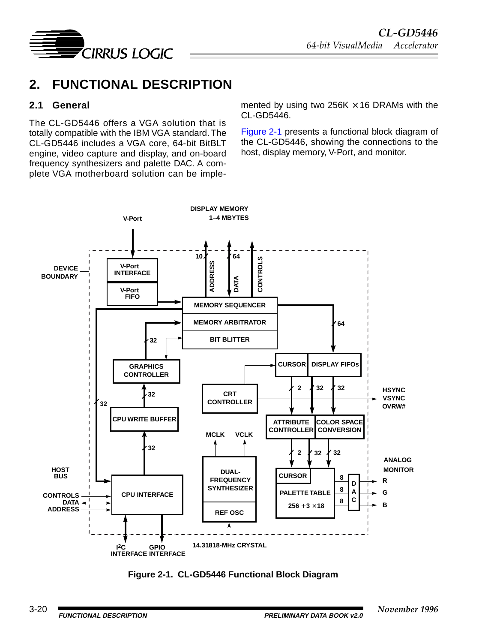<span id="page-19-0"></span>

# **2. FUNCTIONAL DESCRIPTION**

#### **2.1 General**

The CL-GD5446 offers a VGA solution that is totally compatible with the IBM VGA standard. The CL-GD5446 includes a VGA core, 64-bit BitBLT engine, video capture and display, and on-board frequency synthesizers and palette DAC. A complete VGA motherboard solution can be implemented by using two 256K  $\times$  16 DRAMs with the CL-GD5446.

Figure 2-1 presents a functional block diagram of the CL-GD5446, showing the connections to the host, display memory, V-Port, and monitor.



**Figure 2-1. CL-GD5446 Functional Block Diagram**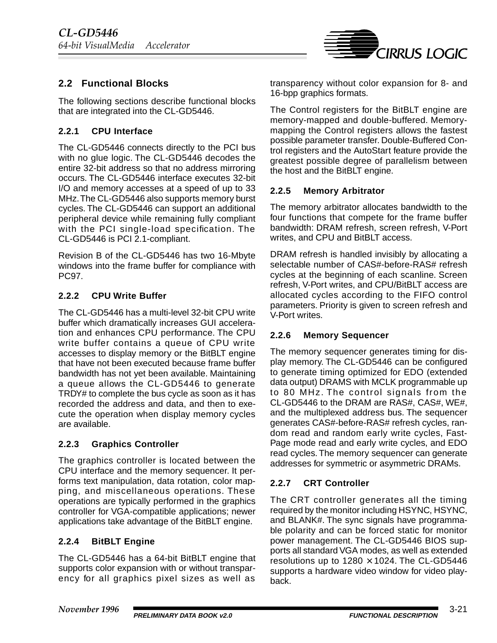

### <span id="page-20-0"></span>**2.2 Functional Blocks**

The following sections describe functional blocks that are integrated into the CL-GD5446.

#### **2.2.1 CPU Interface**

The CL-GD5446 connects directly to the PCI bus with no glue logic. The CL-GD5446 decodes the entire 32-bit address so that no address mirroring occurs. The CL-GD5446 interface executes 32-bit I/O and memory accesses at a speed of up to 33 MHz. The CL-GD5446 also supports memory burst cycles. The CL-GD5446 can support an additional peripheral device while remaining fully compliant with the PCI single-load specification. The CL-GD5446 is PCI 2.1-compliant.

Revision B of the CL-GD5446 has two 16-Mbyte windows into the frame buffer for compliance with PC97.

#### **2.2.2 CPU Write Buffer**

The CL-GD5446 has a multi-level 32-bit CPU write buffer which dramatically increases GUI acceleration and enhances CPU performance. The CPU write buffer contains a queue of CPU write accesses to display memory or the BitBLT engine that have not been executed because frame buffer bandwidth has not yet been available. Maintaining a queue allows the CL-GD5446 to generate TRDY# to complete the bus cycle as soon as it has recorded the address and data, and then to execute the operation when display memory cycles are available.

#### **2.2.3 Graphics Controller**

The graphics controller is located between the CPU interface and the memory sequencer. It performs text manipulation, data rotation, color mapping, and miscellaneous operations. These operations are typically performed in the graphics controller for VGA-compatible applications; newer applications take advantage of the BitBLT engine.

#### **2.2.4 BitBLT Engine**

The CL-GD5446 has a 64-bit BitBLT engine that supports color expansion with or without transparency for all graphics pixel sizes as well as transparency without color expansion for 8- and 16-bpp graphics formats.

The Control registers for the BitBLT engine are memory-mapped and double-buffered. Memorymapping the Control registers allows the fastest possible parameter transfer. Double-Buffered Control registers and the AutoStart feature provide the greatest possible degree of parallelism between the host and the BitBLT engine.

#### **2.2.5 Memory Arbitrator**

The memory arbitrator allocates bandwidth to the four functions that compete for the frame buffer bandwidth: DRAM refresh, screen refresh, V-Port writes, and CPU and BitBLT access.

DRAM refresh is handled invisibly by allocating a selectable number of CAS#-before-RAS# refresh cycles at the beginning of each scanline. Screen refresh, V-Port writes, and CPU/BitBLT access are allocated cycles according to the FIFO control parameters. Priority is given to screen refresh and V-Port writes.

#### **2.2.6 Memory Sequencer**

The memory sequencer generates timing for display memory. The CL-GD5446 can be configured to generate timing optimized for EDO (extended data output) DRAMS with MCLK programmable up to 80 MHz. The control signals from the CL-GD5446 to the DRAM are RAS#, CAS#, WE#, and the multiplexed address bus. The sequencer generates CAS#-before-RAS# refresh cycles, random read and random early write cycles, Fast-Page mode read and early write cycles, and EDO read cycles. The memory sequencer can generate addresses for symmetric or asymmetric DRAMs.

#### **2.2.7 CRT Controller**

The CRT controller generates all the timing required by the monitor including HSYNC, HSYNC, and BLANK#. The sync signals have programmable polarity and can be forced static for monitor power management. The CL-GD5446 BIOS supports all standard VGA modes, as well as extended resolutions up to  $1280 \times 1024$ . The CL-GD5446 supports a hardware video window for video playback.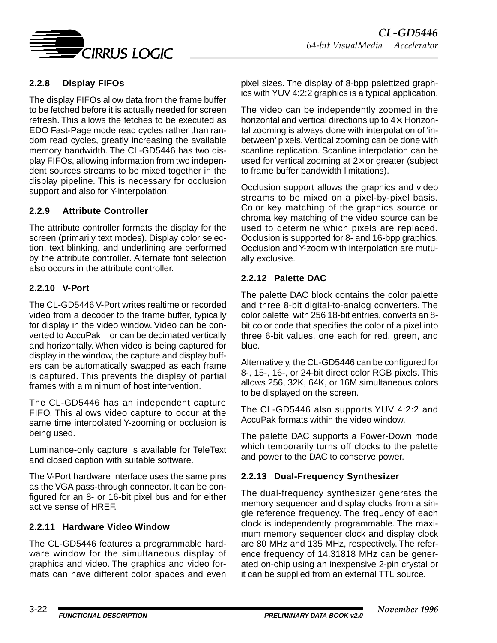<span id="page-21-0"></span>

### **2.2.8 Display FIFOs**

The display FIFOs allow data from the frame buffer to be fetched before it is actually needed for screen refresh. This allows the fetches to be executed as EDO Fast-Page mode read cycles rather than random read cycles, greatly increasing the available memory bandwidth. The CL-GD5446 has two display FIFOs, allowing information from two independent sources streams to be mixed together in the display pipeline. This is necessary for occlusion support and also for Y-interpolation.

#### **2.2.9 Attribute Controller**

The attribute controller formats the display for the screen (primarily text modes). Display color selection, text blinking, and underlining are performed by the attribute controller. Alternate font selection also occurs in the attribute controller.

#### **2.2.10 V-Port**

The CL-GD5446 V-Port writes realtime or recorded video from a decoder to the frame buffer, typically for display in the video window. Video can be converted to AccuPak™ or can be decimated vertically and horizontally. When video is being captured for display in the window, the capture and display buffers can be automatically swapped as each frame is captured. This prevents the display of partial frames with a minimum of host intervention.

The CL-GD5446 has an independent capture FIFO. This allows video capture to occur at the same time interpolated Y-zooming or occlusion is being used.

Luminance-only capture is available for TeleText and closed caption with suitable software.

The V-Port hardware interface uses the same pins as the VGA pass-through connector. It can be configured for an 8- or 16-bit pixel bus and for either active sense of HREF.

#### **2.2.11 Hardware Video Window**

The CL-GD5446 features a programmable hardware window for the simultaneous display of graphics and video. The graphics and video formats can have different color spaces and even pixel sizes. The display of 8-bpp palettized graphics with YUV 4:2:2 graphics is a typical application.

The video can be independently zoomed in the horizontal and vertical directions up to 4×. Horizontal zooming is always done with interpolation of 'inbetween' pixels. Vertical zooming can be done with scanline replication. Scanline interpolation can be used for vertical zooming at  $2\times$  or greater (subject to frame buffer bandwidth limitations).

Occlusion support allows the graphics and video streams to be mixed on a pixel-by-pixel basis. Color key matching of the graphics source or chroma key matching of the video source can be used to determine which pixels are replaced. Occlusion is supported for 8- and 16-bpp graphics. Occlusion and Y-zoom with interpolation are mutually exclusive.

#### **2.2.12 Palette DAC**

The palette DAC block contains the color palette and three 8-bit digital-to-analog converters. The color palette, with 256 18-bit entries, converts an 8 bit color code that specifies the color of a pixel into three 6-bit values, one each for red, green, and blue.

Alternatively, the CL-GD5446 can be configured for 8-, 15-, 16-, or 24-bit direct color RGB pixels. This allows 256, 32K, 64K, or 16M simultaneous colors to be displayed on the screen.

The CL-GD5446 also supports YUV 4:2:2 and AccuPak formats within the video window.

The palette DAC supports a Power-Down mode which temporarily turns off clocks to the palette and power to the DAC to conserve power.

#### **2.2.13 Dual-Frequency Synthesizer**

The dual-frequency synthesizer generates the memory sequencer and display clocks from a single reference frequency. The frequency of each clock is independently programmable. The maximum memory sequencer clock and display clock are 80 MHz and 135 MHz, respectively. The reference frequency of 14.31818 MHz can be generated on-chip using an inexpensive 2-pin crystal or it can be supplied from an external TTL source.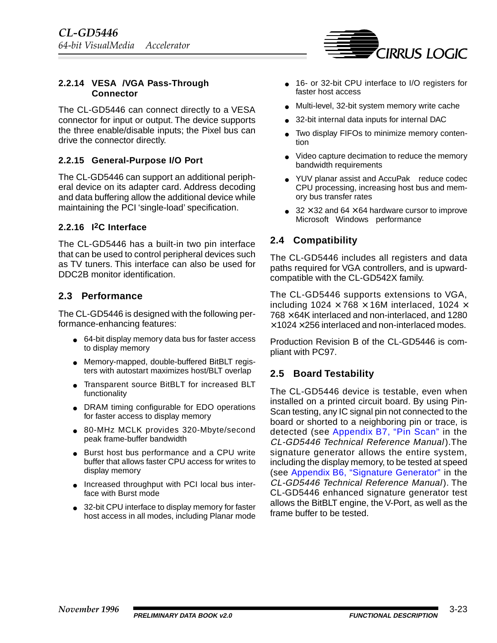

#### <span id="page-22-0"></span>**2.2.14 VESA/VGA Pass-Through Connector**

The CL-GD5446 can connect directly to a VESA connector for input or output. The device supports the three enable/disable inputs; the Pixel bus can drive the connector directly.

#### **2.2.15 General-Purpose I/O Port**

The CL-GD5446 can support an additional peripheral device on its adapter card. Address decoding and data buffering allow the additional device while maintaining the PCI 'single-load' specification.

#### **2.2.16 I2C Interface**

The CL-GD5446 has a built-in two pin interface that can be used to control peripheral devices such as TV tuners. This interface can also be used for DDC2B monitor identification.

#### **2.3 Performance**

The CL-GD5446 is designed with the following performance-enhancing features:

- 64-bit display memory data bus for faster access to display memory
- Memory-mapped, double-buffered BitBLT registers with autostart maximizes host/BLT overlap
- Transparent source BitBLT for increased BLT functionality
- DRAM timing configurable for EDO operations for faster access to display memory
- 80-MHz MCLK provides 320-Mbyte/second peak frame-buffer bandwidth
- Burst host bus performance and a CPU write buffer that allows faster CPU access for writes to display memory
- Increased throughput with PCI local bus interface with Burst mode
- 32-bit CPU interface to display memory for faster host access in all modes, including Planar mode
- 16- or 32-bit CPU interface to I/O registers for faster host access
- Multi-level, 32-bit system memory write cache
- 32-bit internal data inputs for internal DAC
- Two display FIFOs to minimize memory contention
- Video capture decimation to reduce the memory bandwidth requirements
- YUV planar assist and AccuPak<sup>™</sup> reduce codec CPU processing, increasing host bus and memory bus transfer rates
- 32  $\times$  32 and 64  $\times$  64 hardware cursor to improve Microsoft<sup>®</sup> Windows<sup>®</sup> performance

### **2.4 Compatibility**

The CL-GD5446 includes all registers and data paths required for VGA controllers, and is upwardcompatible with the CL-GD542X family.

The CL-GD5446 supports extensions to VGA, including  $1024 \times 768 \times 16$ M interlaced, 1024  $\times$  $768 \times 64$ K interlaced and non-interlaced, and 1280  $\times$  1024  $\times$  256 interlaced and non-interlaced modes.

Production Revision B of the CL-GD5446 is compliant with PC97.

#### **2.5 Board Testability**

The CL-GD5446 device is testable, even when installed on a printed circuit board. By using Pin-Scan testing, any IC signal pin not connected to the board or shorted to a neighboring pin or trace, is detected (see [Appendix B7, "Pin Scan"](#page--1-0) in the CL-GD5446 Technical Reference Manual ).The signature generator allows the entire system, including the display memory, to be tested at speed (see [Appendix B6, "Signature Generator"](#page--1-0) in the CL-GD5446 Technical Reference Manual). The CL-GD5446 enhanced signature generator test allows the BitBLT engine, the V-Port, as well as the frame buffer to be tested.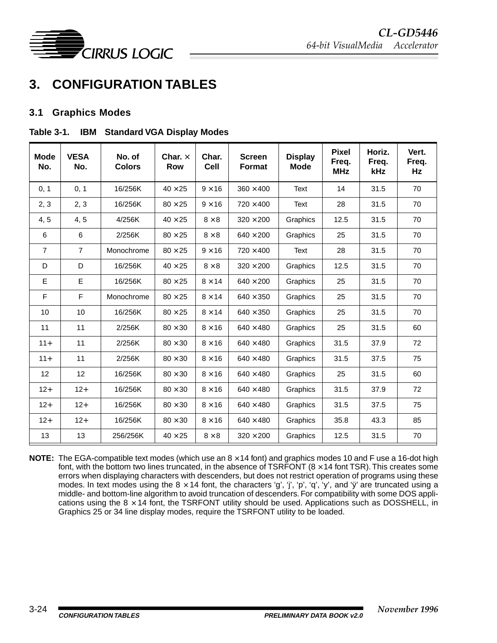<span id="page-23-0"></span>

# **3. CONFIGURATION TABLES**

#### **3.1 Graphics Modes**

#### Table 3-1. IBM<sup>®</sup> Standard VGA Display Modes

| <b>Mode</b><br>No. | <b>VESA®</b><br>No. | No. of<br><b>Colors</b> | Char. $\times$<br><b>Row</b> | Char.<br><b>Cell</b> | <b>Screen</b><br><b>Format</b> | <b>Display</b><br><b>Mode</b> | <b>Pixel</b><br>Freq.<br><b>MHz</b> | Horiz.<br>Freq.<br>kHz | Vert.<br>Freq.<br>Hz |
|--------------------|---------------------|-------------------------|------------------------------|----------------------|--------------------------------|-------------------------------|-------------------------------------|------------------------|----------------------|
| 0, 1               | 0, 1                | 16/256K                 | $40 \times 25$               | $9 \times 16$        | $360 \times 400$               | Text                          | 14                                  | 31.5                   | 70                   |
| 2, 3               | 2, 3                | 16/256K                 | $80 \times 25$               | $9 \times 16$        | $720 \times 400$               | Text                          | 28                                  | 31.5                   | 70                   |
| 4, 5               | 4, 5                | 4/256K                  | $40 \times 25$               | $8 \times 8$         | $320 \times 200$               | Graphics                      | 12.5                                | 31.5                   | 70                   |
| 6                  | 6                   | 2/256K                  | $80 \times 25$               | $8 \times 8$         | $640 \times 200$               | Graphics                      | 25                                  | 31.5                   | 70                   |
| $\overline{7}$     | $\overline{7}$      | Monochrome              | $80 \times 25$               | $9 \times 16$        | $720 \times 400$               | Text                          | 28                                  | 31.5                   | 70                   |
| D                  | D                   | 16/256K                 | $40 \times 25$               | $8 \times 8$         | $320 \times 200$               | Graphics                      | 12.5                                | 31.5                   | 70                   |
| Е                  | E                   | 16/256K                 | $80 \times 25$               | $8 \times 14$        | $640 \times 200$               | Graphics                      | 25                                  | 31.5                   | 70                   |
| F                  | $\mathsf F$         | Monochrome              | $80 \times 25$               | $8 \times 14$        | $640 \times 350$               | Graphics                      | 25                                  | 31.5                   | 70                   |
| 10                 | 10                  | 16/256K                 | $80 \times 25$               | $8 \times 14$        | $640 \times 350$               | Graphics                      | 25                                  | 31.5                   | 70                   |
| 11                 | 11                  | 2/256K                  | $80 \times 30$               | $8 \times 16$        | $640 \times 480$               | Graphics                      | 25                                  | 31.5                   | 60                   |
| $11 +$             | 11                  | 2/256K                  | $80 \times 30$               | $8 \times 16$        | $640 \times 480$               | Graphics                      | 31.5                                | 37.9                   | 72                   |
| $11+$              | 11                  | 2/256K                  | $80 \times 30$               | $8 \times 16$        | $640 \times 480$               | Graphics                      | 31.5                                | 37.5                   | 75                   |
| 12                 | 12                  | 16/256K                 | $80 \times 30$               | $8 \times 16$        | $640 \times 480$               | Graphics                      | 25                                  | 31.5                   | 60                   |
| $12+$              | $12+$               | 16/256K                 | $80 \times 30$               | $8 \times 16$        | $640 \times 480$               | Graphics                      | 31.5                                | 37.9                   | 72                   |
| $12+$              | $12+$               | 16/256K                 | $80 \times 30$               | $8 \times 16$        | $640 \times 480$               | Graphics                      | 31.5                                | 37.5                   | 75                   |
| $12+$              | $12+$               | 16/256K                 | $80\times30$                 | $8 \times 16$        | $640 \times 480$               | Graphics                      | 35.8                                | 43.3                   | 85                   |
| 13                 | 13                  | 256/256K                | $40 \times 25$               | $8 \times 8$         | $320 \times 200$               | Graphics                      | 12.5                                | 31.5                   | 70                   |

**NOTE:** The EGA-compatible text modes (which use an  $8 \times 14$  font) and graphics modes 10 and F use a 16-dot high font, with the bottom two lines truncated, in the absence of TSRFONT ( $8 \times 14$  font TSR). This creates some errors when displaying characters with descenders, but does not restrict operation of programs using these modes. In text modes using the  $8 \times 14$  font, the characters 'g', 'j', 'p', 'q', 'y', and 'y' are truncated using a middle- and bottom-line algorithm to avoid truncation of descenders. For compatibility with some DOS applications using the  $8 \times 14$  font, the TSRFONT utility should be used. Applications such as DOSSHELL, in Graphics 25 or 34 line display modes, require the TSRFONT utility to be loaded.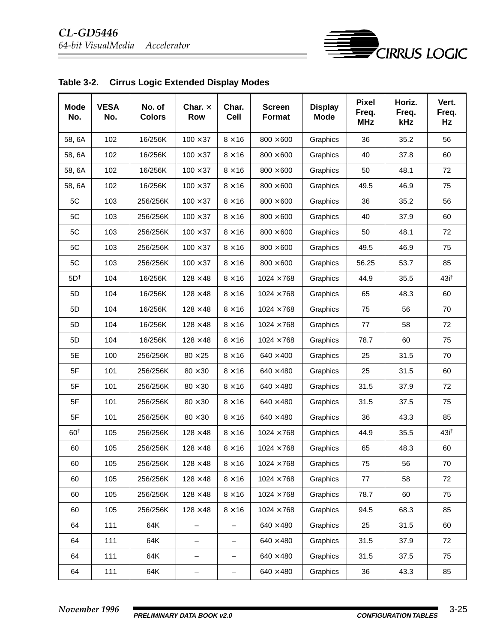

| <b>Mode</b><br>No. | <b>VESA®</b><br>No. | No. of<br><b>Colors</b> | Char. $\times$<br><b>Row</b> | Char.<br>Cell | <b>Screen</b><br>Format | <b>Display</b><br><b>Mode</b> | <b>Pixel</b><br>Freq.<br><b>MHz</b> | Horiz.<br>Freq.<br>kHz | Vert.<br>Freq.<br>Hz |
|--------------------|---------------------|-------------------------|------------------------------|---------------|-------------------------|-------------------------------|-------------------------------------|------------------------|----------------------|
| 58, 6A             | 102                 | 16/256K                 | $100 \times 37$              | $8 \times 16$ | $800 \times 600$        | Graphics                      | 36                                  | 35.2                   | 56                   |
| 58, 6A             | 102                 | 16/256K                 | $100 \times 37$              | $8 \times 16$ | $800 \times 600$        | Graphics                      | 40                                  | 37.8                   | 60                   |
| 58, 6A             | 102                 | 16/256K                 | $100 \times 37$              | $8 \times 16$ | $800 \times 600$        | Graphics                      | 50                                  | 48.1                   | 72                   |
| 58, 6A             | 102                 | 16/256K                 | $100 \times 37$              | $8 \times 16$ | $800 \times 600$        | Graphics                      | 49.5                                | 46.9                   | 75                   |
| 5C                 | 103                 | 256/256K                | $100 \times 37$              | $8 \times 16$ | $800 \times 600$        | Graphics                      | 36                                  | 35.2                   | 56                   |
| 5C                 | 103                 | 256/256K                | $100 \times 37$              | $8 \times 16$ | $800\times600$          | Graphics                      | 40                                  | 37.9                   | 60                   |
| 5C                 | 103                 | 256/256K                | $100 \times 37$              | $8 \times 16$ | $800 \times 600$        | Graphics                      | 50                                  | 48.1                   | 72                   |
| 5C                 | 103                 | 256/256K                | $100 \times 37$              | $8 \times 16$ | $800 \times 600$        | Graphics                      | 49.5                                | 46.9                   | 75                   |
| 5C                 | 103                 | 256/256K                | $100 \times 37$              | $8 \times 16$ | $800 \times 600$        | Graphics                      | 56.25                               | 53.7                   | 85                   |
| 5D <sup>†</sup>    | 104                 | 16/256K                 | $128 \times 48$              | $8 \times 16$ | $1024 \times 768$       | Graphics                      | 44.9                                | 35.5                   | 43i <sup>†</sup>     |
| 5D                 | 104                 | 16/256K                 | $128 \times 48$              | $8 \times 16$ | $1024 \times 768$       | Graphics                      | 65                                  | 48.3                   | 60                   |
| 5D                 | 104                 | 16/256K                 | $128 \times 48$              | $8 \times 16$ | $1024 \times 768$       | Graphics                      | 75                                  | 56                     | 70                   |
| 5D                 | 104                 | 16/256K                 | $128 \times 48$              | $8 \times 16$ | $1024 \times 768$       | Graphics                      | 77                                  | 58                     | 72                   |
| 5D                 | 104                 | 16/256K                 | $128 \times 48$              | $8 \times 16$ | $1024 \times 768$       | Graphics                      | 78.7                                | 60                     | 75                   |
| 5E                 | 100                 | 256/256K                | $80 \times 25$               | $8 \times 16$ | $640 \times 400$        | Graphics                      | 25                                  | 31.5                   | 70                   |
| 5F                 | 101                 | 256/256K                | $80 \times 30$               | $8 \times 16$ | $640 \times 480$        | Graphics                      | 25                                  | 31.5                   | 60                   |
| 5F                 | 101                 | 256/256K                | $80 \times 30$               | $8 \times 16$ | $640 \times 480$        | Graphics                      | 31.5                                | 37.9                   | 72                   |
| 5F                 | 101                 | 256/256K                | $80\times30$                 | $8 \times 16$ | $640 \times 480$        | Graphics                      | 31.5                                | 37.5                   | 75                   |
| 5F                 | 101                 | 256/256K                | $80 \times 30$               | $8 \times 16$ | $640\times480$          | Graphics                      | 36                                  | 43.3                   | 85                   |
| 60 <sup>t</sup>    | 105                 | 256/256K                | $128 \times 48$              | $8 \times 16$ | $1024 \times 768$       | Graphics                      | 44.9                                | 35.5                   | 43i <sup>†</sup>     |
| 60                 | 105                 | 256/256K                | $128 \times 48$              | $8 \times 16$ | $1024 \times 768$       | Graphics                      | 65                                  | 48.3                   | 60                   |
| 60                 | 105                 | 256/256K                | $128 \times 48$              | $8 \times 16$ | $1024 \times 768$       | Graphics                      | 75                                  | 56                     | 70                   |
| 60                 | 105                 | 256/256K                | $128 \times 48$              | $8 \times 16$ | $1024 \times 768$       | Graphics                      | 77                                  | 58                     | 72                   |
| 60                 | 105                 | 256/256K                | $128\times48$                | $8 \times 16$ | $1024 \times 768$       | Graphics                      | 78.7                                | 60                     | 75                   |
| 60                 | 105                 | 256/256K                | $128 \times 48$              | $8 \times 16$ | $1024 \times 768$       | Graphics                      | 94.5                                | 68.3                   | 85                   |
| 64                 | 111                 | 64K                     |                              |               | $640 \times 480$        | Graphics                      | 25                                  | 31.5                   | 60                   |
| 64                 | 111                 | 64K                     | —                            | -             | $640 \times 480$        | Graphics                      | 31.5                                | 37.9                   | 72                   |
| 64                 | 111                 | 64K                     | -                            | -             | $640 \times 480$        | Graphics                      | 31.5                                | 37.5                   | 75                   |
| 64                 | 111                 | 64K                     | -                            | -             | $640\times480$          | Graphics                      | 36                                  | 43.3                   | 85                   |

|  | Table 3-2. Cirrus Logic Extended Display Modes |
|--|------------------------------------------------|
|--|------------------------------------------------|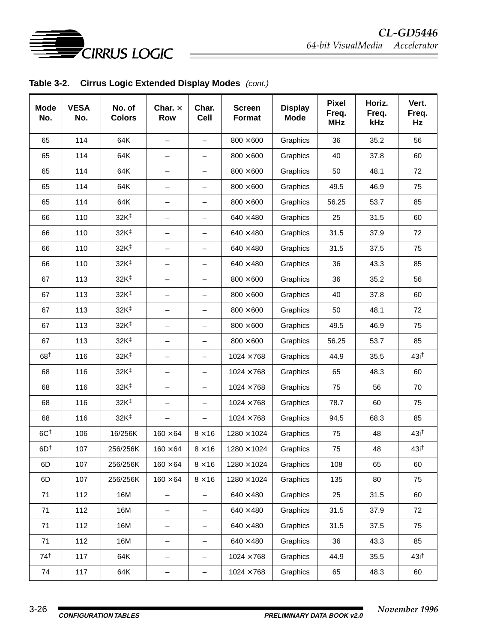

**Table 3-2. Cirrus Logic Extended Display Modes** (cont.)

| <b>Mode</b><br>No. | <b>VESA®</b><br>No. | No. of<br><b>Colors</b> | Char. $\times$<br>Row    | Char.<br><b>Cell</b>     | <b>Screen</b><br>Format | <b>Display</b><br><b>Mode</b> | <b>Pixel</b><br>Freq.<br><b>MHz</b> | Horiz.<br>Freq.<br>kHz | Vert.<br>Freq.<br>Hz |
|--------------------|---------------------|-------------------------|--------------------------|--------------------------|-------------------------|-------------------------------|-------------------------------------|------------------------|----------------------|
| 65                 | 114                 | 64K                     | $\qquad \qquad -$        | $\qquad \qquad -$        | $800 \times 600$        | Graphics                      | 36                                  | 35.2                   | 56                   |
| 65                 | 114                 | 64K                     | $\qquad \qquad -$        | $\qquad \qquad -$        | $800 \times 600$        | Graphics                      | 40                                  | 37.8                   | 60                   |
| 65                 | 114                 | 64K                     | $\qquad \qquad -$        | $\qquad \qquad -$        | $800 \times 600$        | Graphics                      | 50                                  | 48.1                   | 72                   |
| 65                 | 114                 | 64K                     | $\qquad \qquad -$        | $\qquad \qquad -$        | $800 \times 600$        | Graphics                      | 49.5                                | 46.9                   | 75                   |
| 65                 | 114                 | 64K                     | $\overline{\phantom{m}}$ | $\qquad \qquad -$        | $800 \times 600$        | Graphics                      | 56.25                               | 53.7                   | 85                   |
| 66                 | 110                 | 32K <sup>‡</sup>        | $\overline{\phantom{m}}$ | $\qquad \qquad -$        | $640 \times 480$        | Graphics                      | 25                                  | 31.5                   | 60                   |
| 66                 | 110                 | 32K <sup>‡</sup>        | $\overline{\phantom{m}}$ | $\qquad \qquad -$        | $640 \times 480$        | Graphics                      | 31.5                                | 37.9                   | 72                   |
| 66                 | 110                 | 32K <sup>‡</sup>        |                          | $\qquad \qquad -$        | $640 \times 480$        | Graphics                      | 31.5                                | 37.5                   | 75                   |
| 66                 | 110                 | 32K <sup>‡</sup>        |                          |                          | $640 \times 480$        | Graphics                      | 36                                  | 43.3                   | 85                   |
| 67                 | 113                 | 32K <sup>‡</sup>        | $\overline{\phantom{0}}$ | —                        | $800 \times 600$        | Graphics                      | 36                                  | 35.2                   | 56                   |
| 67                 | 113                 | 32K <sup>‡</sup>        | $\overline{\phantom{m}}$ | $\overline{\phantom{m}}$ | $800 \times 600$        | Graphics                      | 40                                  | 37.8                   | 60                   |
| 67                 | 113                 | 32K <sup>‡</sup>        | $\qquad \qquad -$        | $\overline{\phantom{0}}$ | $800 \times 600$        | Graphics                      | 50                                  | 48.1                   | 72                   |
| 67                 | 113                 | 32K <sup>‡</sup>        | $\qquad \qquad -$        | $\qquad \qquad -$        | $800\times600$          | Graphics                      | 49.5                                | 46.9                   | 75                   |
| 67                 | 113                 | 32K <sup>‡</sup>        | $\overline{\phantom{m}}$ | $\qquad \qquad -$        | $800 \times 600$        | Graphics                      | 56.25                               | 53.7                   | 85                   |
| 68†                | 116                 | 32K <sup>‡</sup>        |                          | $\qquad \qquad -$        | $1024 \times 768$       | Graphics                      | 44.9                                | 35.5                   | 43i <sup>†</sup>     |
| 68                 | 116                 | 32K <sup>‡</sup>        | $\qquad \qquad -$        | $\qquad \qquad -$        | $1024 \times 768$       | Graphics                      | 65                                  | 48.3                   | 60                   |
| 68                 | 116                 | 32K <sup>‡</sup>        | $\overline{\phantom{m}}$ | $\qquad \qquad -$        | $1024 \times 768$       | Graphics                      | 75                                  | 56                     | 70                   |
| 68                 | 116                 | 32K <sup>‡</sup>        | $\overline{\phantom{m}}$ | $\qquad \qquad -$        | $1024 \times 768$       | Graphics                      | 78.7                                | 60                     | 75                   |
| 68                 | 116                 | 32K <sup>‡</sup>        | $\qquad \qquad -$        | $\qquad \qquad -$        | $1024 \times 768$       | Graphics                      | 94.5                                | 68.3                   | 85                   |
| $6C+$              | 106                 | 16/256K                 | $160 \times 64$          | $8 \times 16$            | $1280 \times 1024$      | Graphics                      | 75                                  | 48                     | 43i <sup>†</sup>     |
| 6D <sup>t</sup>    | 107                 | 256/256K                | $160 \times 64$          | $8 \times 16$            | $1280 \times 1024$      | Graphics                      | 75                                  | 48                     | 43i <sup>†</sup>     |
| 6D                 | 107                 | 256/256K                | $160 \times 64$          | $8\times16$              | $1280\times1024$        | Graphics                      | 108                                 | 65                     | 60                   |
| 6D                 | 107                 | 256/256K                | $160 \times 64$          | $8 \times 16$            | $1280\times1024$        | Graphics                      | 135                                 | 80                     | 75                   |
| 71                 | 112                 | 16M                     |                          |                          | $640 \times 480$        | Graphics                      | 25                                  | 31.5                   | 60                   |
| 71                 | 112                 | 16M                     | $\qquad \qquad -$        | $\qquad \qquad -$        | $640 \times 480$        | Graphics                      | 31.5                                | 37.9                   | 72                   |
| 71                 | 112                 | 16M                     | $\qquad \qquad -$        | —                        | $640 \times 480$        | Graphics                      | 31.5                                | 37.5                   | 75                   |
| 71                 | 112                 | 16M                     | —                        | $\qquad \qquad -$        | $640 \times 480$        | Graphics                      | 36                                  | 43.3                   | 85                   |
| 74†                | 117                 | 64K                     | —                        | $\qquad \qquad -$        | $1024 \times 768$       | Graphics                      | 44.9                                | 35.5                   | 43i <sup>†</sup>     |
| 74                 | 117                 | 64K                     | —                        | —                        | $1024 \times 768$       | Graphics                      | 65                                  | 48.3                   | 60                   |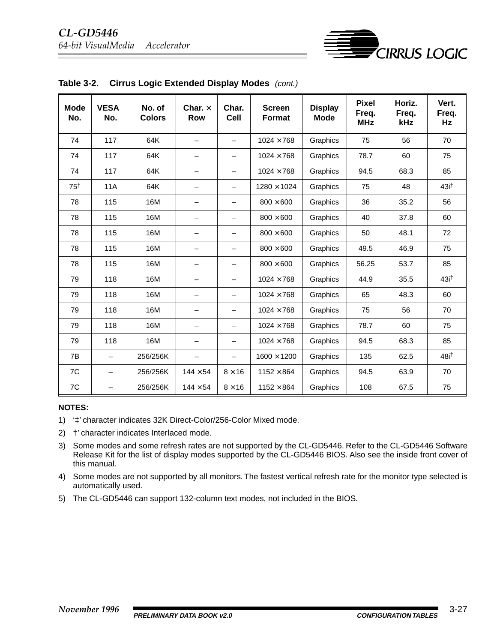

| <b>Mode</b><br>No. | <b>VESA®</b><br>No. | No. of<br><b>Colors</b> | Char. $\times$<br><b>Row</b> | Char.<br><b>Cell</b>     | <b>Screen</b><br><b>Format</b> | <b>Display</b><br><b>Mode</b> | <b>Pixel</b><br>Freq.<br><b>MHz</b> | Horiz.<br>Freq.<br>kHz | Vert.<br>Freq.<br>Hz |
|--------------------|---------------------|-------------------------|------------------------------|--------------------------|--------------------------------|-------------------------------|-------------------------------------|------------------------|----------------------|
| 74                 | 117                 | 64K                     | $\equiv$                     |                          | $1024 \times 768$              | Graphics                      | 75                                  | 56                     | 70                   |
| 74                 | 117                 | 64K                     | $\overline{\phantom{0}}$     |                          | $1024 \times 768$              | Graphics                      | 78.7                                | 60                     | 75                   |
| 74                 | 117                 | 64K                     | $\overline{\phantom{0}}$     | $\qquad \qquad -$        | $1024 \times 768$              | Graphics                      | 94.5                                | 68.3                   | 85                   |
| 75 <sup>†</sup>    | <b>11A</b>          | 64K                     | $\overline{\phantom{0}}$     | $\overline{\phantom{0}}$ | $1280 \times 1024$             | Graphics                      | 75                                  | 48                     | 43i <sup>†</sup>     |
| 78                 | 115                 | 16M                     | $\overline{\phantom{0}}$     |                          | $800 \times 600$               | Graphics                      | 36                                  | 35.2                   | 56                   |
| 78                 | 115                 | 16M                     | —                            |                          | $800 \times 600$               | Graphics                      | 40                                  | 37.8                   | 60                   |
| 78                 | 115                 | 16M                     | —                            |                          | $800 \times 600$               | Graphics                      | 50                                  | 48.1                   | 72                   |
| 78                 | 115                 | 16M                     | $\overline{\phantom{0}}$     |                          | $800 \times 600$               | Graphics                      | 49.5                                | 46.9                   | 75                   |
| 78                 | 115                 | 16M                     | —                            | $\overline{\phantom{m}}$ | $800 \times 600$               | Graphics                      | 56.25                               | 53.7                   | 85                   |
| 79                 | 118                 | 16M                     | —                            | $\qquad \qquad -$        | $1024 \times 768$              | Graphics                      | 44.9                                | 35.5                   | 43i <sup>†</sup>     |
| 79                 | 118                 | 16M                     | $\overline{\phantom{0}}$     | $\overline{\phantom{0}}$ | $1024 \times 768$              | Graphics                      | 65                                  | 48.3                   | 60                   |
| 79                 | 118                 | 16M                     | $\overline{\phantom{0}}$     | $\overline{\phantom{0}}$ | $1024 \times 768$              | Graphics                      | 75                                  | 56                     | 70                   |
| 79                 | 118                 | 16M                     | $\overline{\phantom{0}}$     | $\qquad \qquad -$        | $1024 \times 768$              | Graphics                      | 78.7                                | 60                     | 75                   |
| 79                 | 118                 | 16M                     | —                            | $\qquad \qquad -$        | $1024 \times 768$              | Graphics                      | 94.5                                | 68.3                   | 85                   |
| 7B                 |                     | 256/256K                |                              | $\overline{\phantom{0}}$ | $1600 \times 1200$             | Graphics                      | 135                                 | 62.5                   | 48i <sup>+</sup>     |
| 7C                 |                     | 256/256K                | $144 \times 54$              | $8 \times 16$            | $1152 \times 864$              | Graphics                      | 94.5                                | 63.9                   | 70                   |
| 7C                 |                     | 256/256K                | $144 \times 54$              | $8 \times 16$            | $1152 \times 864$              | Graphics                      | 108                                 | 67.5                   | 75                   |

**Table 3-2. Cirrus Logic Extended Display Modes** (cont.)

#### **NOTES:**

- 1) '‡' character indicates 32K Direct-Color/256-Color Mixed mode.
- 2) †' character indicates Interlaced mode.
- 3) Some modes and some refresh rates are not supported by the CL-GD5446. Refer to the CL-GD5446 Software Release Kit for the list of display modes supported by the CL-GD5446 BIOS. Also see the inside front cover of this manual.
- 4) Some modes are not supported by all monitors. The fastest vertical refresh rate for the monitor type selected is automatically used.
- 5) The CL-GD5446 can support 132-column text modes, not included in the BIOS.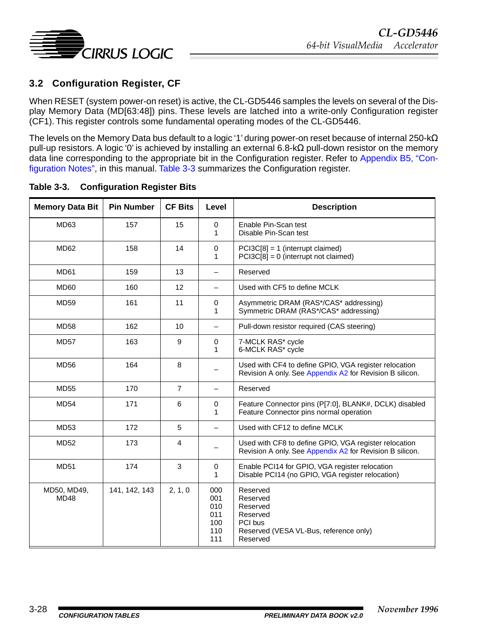<span id="page-27-0"></span>

### **3.2 Configuration Register, CF**

When RESET (system power-on reset) is active, the CL-GD5446 samples the levels on several of the Display Memory Data (MD[63:48]) pins. These levels are latched into a write-only Configuration register (CF1). This register controls some fundamental operating modes of the CL-GD5446.

The levels on the Memory Data bus default to a logic '1' during power-on reset because of internal 250-kΩ pull-up resistors. A logic '0' is achieved by installing an external 6.8-kΩ pull-down resistor on the memory data line corresponding to the appropriate bit in the Configuration register. Refer to [Appendix B5, "Con](#page--1-0)[figuration Notes",](#page--1-0) in this manual. Table 3-3 summarizes the Configuration register.

| <b>Memory Data Bit</b>     | <b>Pin Number</b> | <b>CF Bits</b> | Level                                         | <b>Description</b>                                                                                                |
|----------------------------|-------------------|----------------|-----------------------------------------------|-------------------------------------------------------------------------------------------------------------------|
| MD63                       | 157               | 15             | $\mathbf 0$<br>1                              | Enable Pin-Scan test<br>Disable Pin-Scan test                                                                     |
| MD <sub>62</sub>           | 158               | 14             | $\mathbf 0$<br>1                              | $PCI3C[8] = 1$ (interrupt claimed)<br>$PCI3C[8] = 0$ (interrupt not claimed)                                      |
| MD61                       | 159               | 13             |                                               | Reserved                                                                                                          |
| MD <sub>60</sub>           | 160               | 12             |                                               | Used with CF5 to define MCLK                                                                                      |
| MD59                       | 161               | 11             | 0<br>1                                        | Asymmetric DRAM (RAS*/CAS* addressing)<br>Symmetric DRAM (RAS*/CAS* addressing)                                   |
| <b>MD58</b>                | 162               | 10             | $\qquad \qquad -$                             | Pull-down resistor required (CAS steering)                                                                        |
| <b>MD57</b>                | 163               | 9              | 0<br>1                                        | 7-MCLK RAS* cycle<br>6-MCLK RAS* cycle                                                                            |
| <b>MD56</b>                | 164               | 8              |                                               | Used with CF4 to define GPIO, VGA register relocation<br>Revision A only. See Appendix A2 for Revision B silicon. |
| <b>MD55</b>                | 170               | $\overline{7}$ |                                               | Reserved                                                                                                          |
| <b>MD54</b>                | 171               | 6              | 0<br>1                                        | Feature Connector pins (P[7:0], BLANK#, DCLK) disabled<br>Feature Connector pins normal operation                 |
| MD53                       | 172               | 5              |                                               | Used with CF12 to define MCLK                                                                                     |
| <b>MD52</b>                | 173               | 4              |                                               | Used with CF8 to define GPIO, VGA register relocation<br>Revision A only. See Appendix A2 for Revision B silicon. |
| <b>MD51</b>                | 174               | 3              | 0<br>1                                        | Enable PCI14 for GPIO, VGA register relocation<br>Disable PCI14 (no GPIO, VGA register relocation)                |
| MD50, MD49,<br><b>MD48</b> | 141, 142, 143     | 2, 1, 0        | 000<br>001<br>010<br>011<br>100<br>110<br>111 | Reserved<br>Reserved<br>Reserved<br>Reserved<br>PCI bus<br>Reserved (VESA VL-Bus, reference only)<br>Reserved     |

#### **Table 3-3. Configuration Register Bits**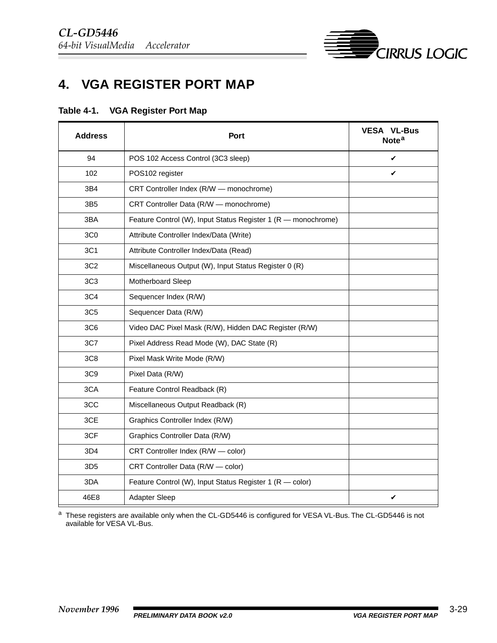

# <span id="page-28-0"></span>**4. VGA REGISTER PORT MAP**

| Table 4-1. |  | <b>VGA Register Port Map</b> |  |  |
|------------|--|------------------------------|--|--|
|------------|--|------------------------------|--|--|

| <b>Address</b>  | Port                                                          | VESA <sup>®</sup> VL-Bus™<br>Note <sup>a</sup> |
|-----------------|---------------------------------------------------------------|------------------------------------------------|
| 94              | POS 102 Access Control (3C3 sleep)                            | ✓                                              |
| 102             | POS102 register                                               | ✓                                              |
| 3B4             | CRT Controller Index (R/W - monochrome)                       |                                                |
| 3B <sub>5</sub> | CRT Controller Data (R/W - monochrome)                        |                                                |
| 3BA             | Feature Control (W), Input Status Register 1 (R - monochrome) |                                                |
| 3C <sub>0</sub> | Attribute Controller Index/Data (Write)                       |                                                |
| 3C1             | Attribute Controller Index/Data (Read)                        |                                                |
| 3C <sub>2</sub> | Miscellaneous Output (W), Input Status Register 0 (R)         |                                                |
| 3C <sub>3</sub> | Motherboard Sleep                                             |                                                |
| 3C4             | Sequencer Index (R/W)                                         |                                                |
| 3C <sub>5</sub> | Sequencer Data (R/W)                                          |                                                |
| 3C <sub>6</sub> | Video DAC Pixel Mask (R/W), Hidden DAC Register (R/W)         |                                                |
| 3C7             | Pixel Address Read Mode (W), DAC State (R)                    |                                                |
| 3C <sub>8</sub> | Pixel Mask Write Mode (R/W)                                   |                                                |
| 3C <sub>9</sub> | Pixel Data (R/W)                                              |                                                |
| 3CA             | Feature Control Readback (R)                                  |                                                |
| 3CC             | Miscellaneous Output Readback (R)                             |                                                |
| 3CE             | Graphics Controller Index (R/W)                               |                                                |
| 3CF             | Graphics Controller Data (R/W)                                |                                                |
| 3D4             | CRT Controller Index (R/W - color)                            |                                                |
| 3D <sub>5</sub> | CRT Controller Data (R/W - color)                             |                                                |
| 3DA             | Feature Control (W), Input Status Register 1 (R - color)      |                                                |
| 46E8            | Adapter Sleep                                                 | ✔                                              |

<sup>a</sup> These registers are available only when the CL-GD5446 is configured for VESA VL-Bus. The CL-GD5446 is not available for VESA VL-Bus.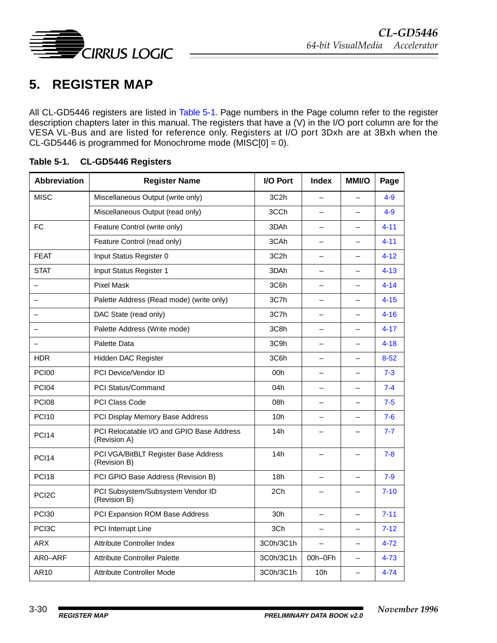<span id="page-29-0"></span>

# **5. REGISTER MAP**

All CL-GD5446 registers are listed in Table 5-1. Page numbers in the Page column refer to the register description chapters later in this manual. The registers that have a (V) in the I/O port column are for the VESA VL-Bus and are listed for reference only. Registers at I/O port 3Dxh are at 3Bxh when the CL-GD5446 is programmed for Monochrome mode (MISC[0] = 0).

| <b>Abbreviation</b>      | <b>Register Name</b>                                      | I/O Port          | <b>Index</b>             | <b>MMI/O</b>             | Page     |
|--------------------------|-----------------------------------------------------------|-------------------|--------------------------|--------------------------|----------|
| <b>MISC</b>              | Miscellaneous Output (write only)                         | 3C <sub>2</sub> h |                          |                          | $4 - 9$  |
|                          | Miscellaneous Output (read only)                          | 3CCh              | -                        | $\overline{\phantom{0}}$ | $4 - 9$  |
| <b>FC</b>                | Feature Control (write only)                              | 3DAh              |                          | $\overline{\phantom{0}}$ | $4 - 11$ |
|                          | Feature Control (read only)                               | 3CAh              |                          |                          | $4 - 11$ |
| <b>FEAT</b>              | Input Status Register 0                                   | 3C <sub>2</sub> h | $\overline{\phantom{0}}$ | $\equiv$                 | $4 - 12$ |
| <b>STAT</b>              | Input Status Register 1                                   | 3DAh              |                          | $\equiv$                 | $4 - 13$ |
|                          | <b>Pixel Mask</b>                                         | 3C6h              |                          |                          | $4 - 14$ |
|                          | Palette Address (Read mode) (write only)                  | 3C7h              | $\overline{\phantom{0}}$ | $\overline{\phantom{0}}$ | $4 - 15$ |
|                          | DAC State (read only)                                     | 3C7h              |                          | $\equiv$                 | $4 - 16$ |
|                          | Palette Address (Write mode)                              | 3C8h              |                          |                          | $4 - 17$ |
| $\overline{\phantom{0}}$ | Palette Data                                              | 3C9h              | $\overline{\phantom{0}}$ | $\equiv$                 | $4 - 18$ |
| <b>HDR</b>               | Hidden DAC Register                                       | 3C6h              | $\overline{\phantom{0}}$ | $\equiv$                 | $8 - 52$ |
| <b>PCI00</b>             | PCI Device/Vendor ID                                      | 00h               |                          |                          | $7 - 3$  |
| <b>PCI04</b>             | <b>PCI Status/Command</b>                                 | 04h               |                          | $\overline{\phantom{0}}$ | $7 - 4$  |
| <b>PCI08</b>             | <b>PCI Class Code</b>                                     | 08h               |                          | $\equiv$                 | $7 - 5$  |
| <b>PCI10</b>             | PCI Display Memory Base Address                           | 10h               |                          |                          | $7-6$    |
| <b>PCI14</b>             | PCI Relocatable I/O and GPIO Base Address<br>(Revision A) | 14h               |                          | $\overline{\phantom{0}}$ | $7 - 7$  |
| <b>PCI14</b>             | PCI VGA/BitBLT Register Base Address<br>(Revision B)      | 14h               |                          | $\overline{\phantom{0}}$ | $7 - 8$  |
| <b>PCI18</b>             | PCI GPIO Base Address (Revision B)                        | 18h               |                          |                          | $7 - 9$  |
| PCI <sub>2</sub> C       | PCI Subsystem/Subsystem Vendor ID<br>(Revision B)         | 2Ch               |                          |                          | $7 - 10$ |
| <b>PCI30</b>             | PCI Expansion ROM Base Address                            | 30h               |                          | $\equiv$                 | $7 - 11$ |
| PCI <sub>3</sub> C       | PCI Interrupt Line                                        | 3Ch               | $\overline{\phantom{0}}$ | $\overline{\phantom{0}}$ | $7 - 12$ |
| <b>ARX</b>               | <b>Attribute Controller Index</b>                         | 3C0h/3C1h         |                          | $\overline{\phantom{0}}$ | $4 - 72$ |
| AR0-ARF                  | <b>Attribute Controller Palette</b>                       | 3C0h/3C1h         | 00h-0Fh                  | $\equiv$                 | $4 - 73$ |
| AR10                     | Attribute Controller Mode                                 | 3C0h/3C1h         | 10h                      | $\overline{\phantom{0}}$ | $4 - 74$ |

#### **Table 5-1. CL-GD5446 Registers**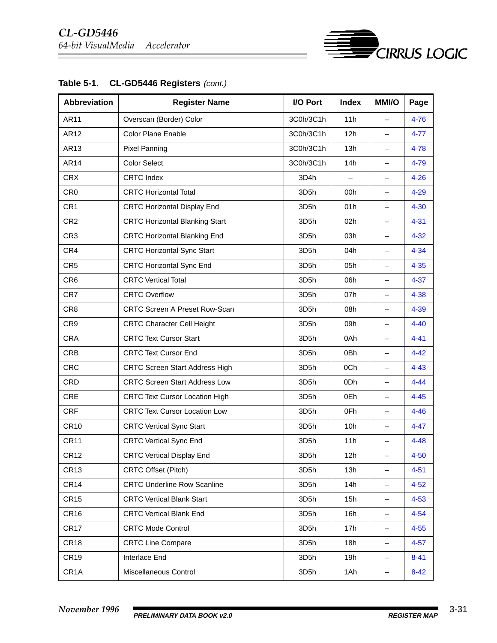

| Table 5-1. | CL-GD5446 Registers (cont.) |  |  |  |
|------------|-----------------------------|--|--|--|
|------------|-----------------------------|--|--|--|

**ENSING CIRRUS LOGIC**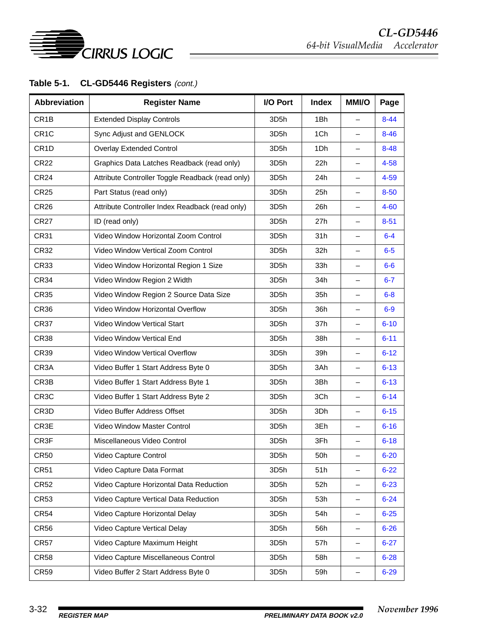

### Table 5-1. CL-GD5446 Registers (cont.)

| <b>Abbreviation</b> | <b>Register Name</b>                             | I/O Port          | <b>Index</b> | <b>MMI/O</b>             | Page     |
|---------------------|--------------------------------------------------|-------------------|--------------|--------------------------|----------|
| CR <sub>1</sub> B   | <b>Extended Display Controls</b>                 | 3D <sub>5</sub> h | 1Bh          | $\overline{\phantom{0}}$ | $8 - 44$ |
| CR <sub>1</sub> C   | Sync Adjust and GENLOCK                          | 3D5h              | 1Ch          | $\overline{\phantom{0}}$ | $8 - 46$ |
| CR <sub>1</sub> D   | <b>Overlay Extended Control</b>                  | 3D5h              | 1Dh          | —                        | $8 - 48$ |
| <b>CR22</b>         | Graphics Data Latches Readback (read only)       | 3D <sub>5</sub> h | 22h          | —                        | $4 - 58$ |
| <b>CR24</b>         | Attribute Controller Toggle Readback (read only) | 3D5h              | 24h          | $\overline{\phantom{0}}$ | $4 - 59$ |
| <b>CR25</b>         | Part Status (read only)                          | 3D <sub>5</sub> h | 25h          | —                        | $8 - 50$ |
| CR <sub>26</sub>    | Attribute Controller Index Readback (read only)  | 3D5h              | 26h          | —                        | $4 - 60$ |
| <b>CR27</b>         | ID (read only)                                   | 3D <sub>5</sub> h | 27h          | $\overline{\phantom{0}}$ | $8 - 51$ |
| <b>CR31</b>         | Video Window Horizontal Zoom Control             | 3D5h              | 31h          | —                        | $6 - 4$  |
| CR32                | Video Window Vertical Zoom Control               | 3D5h              | 32h          | —                        | $6-5$    |
| CR33                | Video Window Horizontal Region 1 Size            | 3D <sub>5</sub> h | 33h          | $\overline{\phantom{0}}$ | $6-6$    |
| <b>CR34</b>         | Video Window Region 2 Width                      | 3D5h              | 34h          | $\overline{\phantom{0}}$ | $6 - 7$  |
| <b>CR35</b>         | Video Window Region 2 Source Data Size           | 3D5h              | 35h          | —                        | $6 - 8$  |
| <b>CR36</b>         | Video Window Horizontal Overflow                 | 3D5h              | 36h          | $\overline{\phantom{0}}$ | $6-9$    |
| <b>CR37</b>         | Video Window Vertical Start                      | 3D5h              | 37h          | —                        | $6 - 10$ |
| <b>CR38</b>         | Video Window Vertical End                        | 3D5h              | 38h          | —                        | $6 - 11$ |
| <b>CR39</b>         | Video Window Vertical Overflow                   | 3D5h              | 39h          | —                        | $6 - 12$ |
| CR <sub>3</sub> A   | Video Buffer 1 Start Address Byte 0              | 3D5h              | 3Ah          | $\overline{\phantom{0}}$ | $6 - 13$ |
| CR3B                | Video Buffer 1 Start Address Byte 1              | 3D5h              | 3Bh          | —                        | $6 - 13$ |
| CR <sub>3</sub> C   | Video Buffer 1 Start Address Byte 2              | 3D5h              | 3Ch          | $\overline{\phantom{0}}$ | $6 - 14$ |
| CR <sub>3</sub> D   | Video Buffer Address Offset                      | 3D5h              | 3Dh          | —                        | $6 - 15$ |
| CR3E                | Video Window Master Control                      | 3D5h              | 3Eh          | —                        | $6 - 16$ |
| CR3F                | Miscellaneous Video Control                      | 3D <sub>5</sub> h | 3Fh          | —                        | $6 - 18$ |
| CR <sub>50</sub>    | Video Capture Control                            | 3D5h              | 50h          | —                        | $6 - 20$ |
| CR <sub>51</sub>    | Video Capture Data Format                        | 3D5h              | 51h          | —                        | $6 - 22$ |
| <b>CR52</b>         | Video Capture Horizontal Data Reduction          | 3D5h              | 52h          | —                        | $6 - 23$ |
| <b>CR53</b>         | Video Capture Vertical Data Reduction            | 3D5h              | 53h          | —                        | $6 - 24$ |
| <b>CR54</b>         | Video Capture Horizontal Delay                   | 3D5h              | 54h          | —                        | $6 - 25$ |
| <b>CR56</b>         | Video Capture Vertical Delay                     | 3D5h              | 56h          | —                        | $6 - 26$ |
| <b>CR57</b>         | Video Capture Maximum Height                     | 3D5h              | 57h          | —                        | $6 - 27$ |
| <b>CR58</b>         | Video Capture Miscellaneous Control              | 3D5h              | 58h          | —                        | $6 - 28$ |
| <b>CR59</b>         | Video Buffer 2 Start Address Byte 0              | 3D5h              | 59h          | -                        | $6 - 29$ |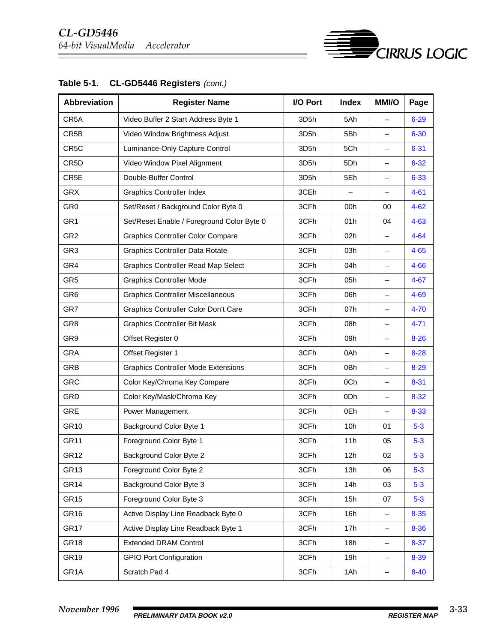| <b>Abbreviation</b> | <b>Register Name</b>                       | I/O Port          | <b>Index</b> | <b>MMI/O</b>             | Page     |
|---------------------|--------------------------------------------|-------------------|--------------|--------------------------|----------|
| CR5A                | Video Buffer 2 Start Address Byte 1        | 3D <sub>5</sub> h | 5Ah          | $\overline{\phantom{0}}$ | $6 - 29$ |
| CR5B                | Video Window Brightness Adjust             | 3D5h              | 5Bh          | $\qquad \qquad -$        | $6 - 30$ |
| CR5C                | Luminance-Only Capture Control             | 3D5h              | 5Ch          | $\qquad \qquad -$        | $6 - 31$ |
| CR5D                | Video Window Pixel Alignment               | 3D5h              | 5Dh          | $\qquad \qquad -$        | $6 - 32$ |
| CR5E                | Double-Buffer Control                      | 3D5h              | 5Eh          | $\qquad \qquad -$        | $6 - 33$ |
| <b>GRX</b>          | <b>Graphics Controller Index</b>           | 3CEh              |              | $\qquad \qquad -$        | $4 - 61$ |
| GR <sub>0</sub>     | Set/Reset / Background Color Byte 0        | 3CFh              | 00h          | 00                       | $4 - 62$ |
| GR <sub>1</sub>     | Set/Reset Enable / Foreground Color Byte 0 | 3CFh              | 01h          | 04                       | $4 - 63$ |
| GR <sub>2</sub>     | <b>Graphics Controller Color Compare</b>   | 3CFh              | 02h          |                          | $4 - 64$ |
| GR <sub>3</sub>     | <b>Graphics Controller Data Rotate</b>     | 3CFh              | 03h          | $\qquad \qquad -$        | $4 - 65$ |
| GR4                 | <b>Graphics Controller Read Map Select</b> | 3CFh              | 04h          | $\overline{\phantom{0}}$ | $4 - 66$ |
| GR <sub>5</sub>     | <b>Graphics Controller Mode</b>            | 3CFh              | 05h          | $\qquad \qquad -$        | $4 - 67$ |
| GR <sub>6</sub>     | <b>Graphics Controller Miscellaneous</b>   | 3CFh              | 06h          | $\qquad \qquad -$        | 4-69     |
| GR7                 | Graphics Controller Color Don't Care       | 3CFh              | 07h          | $\qquad \qquad -$        | $4 - 70$ |
| GR <sub>8</sub>     | <b>Graphics Controller Bit Mask</b>        | 3CFh              | 08h          | $\qquad \qquad -$        | $4 - 71$ |
| GR9                 | Offset Register 0                          | 3CFh              | 09h          | $\qquad \qquad -$        | $8 - 26$ |
| <b>GRA</b>          | Offset Register 1                          | 3CFh              | 0Ah          | $\overline{\phantom{0}}$ | $8 - 28$ |
| <b>GRB</b>          | <b>Graphics Controller Mode Extensions</b> | 3CFh              | 0Bh          | $\qquad \qquad -$        | $8 - 29$ |
| <b>GRC</b>          | Color Key/Chroma Key Compare               | 3CFh              | 0Ch          | $\qquad \qquad -$        | $8 - 31$ |
| <b>GRD</b>          | Color Key/Mask/Chroma Key                  | 3CFh              | 0Dh          | $\qquad \qquad -$        | $8 - 32$ |
| <b>GRE</b>          | Power Management                           | 3CFh              | 0Eh          | $\qquad \qquad -$        | $8 - 33$ |
| GR10                | Background Color Byte 1                    | 3CFh              | 10h          | 01                       | $5 - 3$  |
| <b>GR11</b>         | Foreground Color Byte 1                    | 3CFh              | 11h          | 05                       | $5 - 3$  |
| GR <sub>12</sub>    | Background Color Byte 2                    | 3CFh              | 12h          | 02                       | $5 - 3$  |
| GR <sub>13</sub>    | Foreground Color Byte 2                    | 3CFh              | 13h          | 06                       | $5-3$    |
| GR <sub>14</sub>    | Background Color Byte 3                    | 3CFh              | 14h          | 03                       | $5-3$    |
| GR <sub>15</sub>    | Foreground Color Byte 3                    | 3CFh              | 15h          | 07                       | $5-3$    |
| GR <sub>16</sub>    | Active Display Line Readback Byte 0        | 3CFh              | 16h          | —                        | $8 - 35$ |
| GR <sub>17</sub>    | Active Display Line Readback Byte 1        | 3CFh              | 17h          | $\qquad \qquad -$        | $8 - 36$ |
| GR <sub>18</sub>    | <b>Extended DRAM Control</b>               | 3CFh              | 18h          | —                        | $8 - 37$ |
| GR <sub>19</sub>    | <b>GPIO Port Configuration</b>             | 3CFh              | 19h          | $\qquad \qquad -$        | 8-39     |
| GR <sub>1</sub> A   | Scratch Pad 4                              | 3CFh              | 1Ah          | —                        | $8 - 40$ |

### Table 5-1. CL-GD5446 Registers (cont.)

**E**<br>CIRRUS LOGIC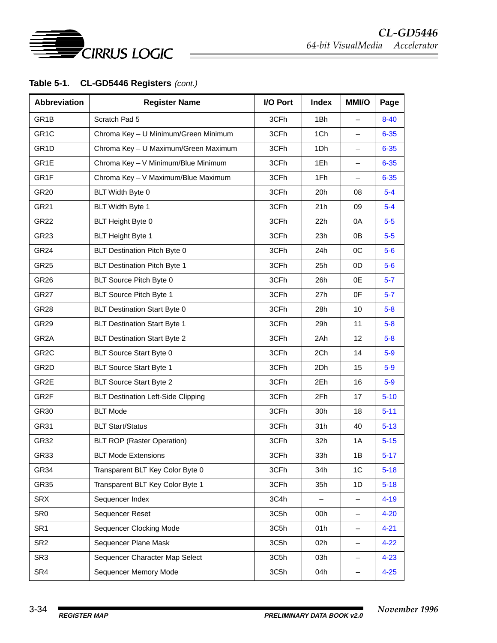

### Table 5-1. CL-GD5446 Registers (cont.)

| <b>Abbreviation</b> | <b>Register Name</b>                      | I/O Port | <b>Index</b> | <b>MMI/O</b>             | Page     |
|---------------------|-------------------------------------------|----------|--------------|--------------------------|----------|
| GR <sub>1</sub> B   | Scratch Pad 5                             | 3CFh     | 1Bh          | $\overline{\phantom{0}}$ | $8 - 40$ |
| GR <sub>1C</sub>    | Chroma Key - U Minimum/Green Minimum      | 3CFh     | 1Ch          | $\qquad \qquad -$        | $6 - 35$ |
| GR <sub>1</sub> D   | Chroma Key - U Maximum/Green Maximum      | 3CFh     | 1Dh          | $\overline{\phantom{0}}$ | $6 - 35$ |
| GR1E                | Chroma Key - V Minimum/Blue Minimum       | 3CFh     | 1Eh          | $\qquad \qquad -$        | $6 - 35$ |
| GR1F                | Chroma Key - V Maximum/Blue Maximum       | 3CFh     | 1Fh          | —                        | $6 - 35$ |
| <b>GR20</b>         | BLT Width Byte 0                          | 3CFh     | 20h          | 08                       | $5-4$    |
| GR21                | BLT Width Byte 1                          | 3CFh     | 21h          | 09                       | $5-4$    |
| <b>GR22</b>         | BLT Height Byte 0                         | 3CFh     | 22h          | 0A                       | $5-5$    |
| GR <sub>23</sub>    | <b>BLT Height Byte 1</b>                  | 3CFh     | 23h          | 0B                       | $5-5$    |
| GR <sub>24</sub>    | BLT Destination Pitch Byte 0              | 3CFh     | 24h          | OC                       | $5-6$    |
| <b>GR25</b>         | <b>BLT Destination Pitch Byte 1</b>       | 3CFh     | 25h          | 0 <sub>D</sub>           | $5-6$    |
| GR <sub>26</sub>    | BLT Source Pitch Byte 0                   | 3CFh     | 26h          | 0E                       | $5 - 7$  |
| GR <sub>27</sub>    | BLT Source Pitch Byte 1                   | 3CFh     | 27h          | 0F                       | $5 - 7$  |
| GR <sub>28</sub>    | <b>BLT Destination Start Byte 0</b>       | 3CFh     | 28h          | 10                       | $5 - 8$  |
| GR29                | <b>BLT Destination Start Byte 1</b>       | 3CFh     | 29h          | 11                       | $5 - 8$  |
| GR <sub>2</sub> A   | <b>BLT Destination Start Byte 2</b>       | 3CFh     | 2Ah          | 12                       | $5 - 8$  |
| GR <sub>2</sub> C   | BLT Source Start Byte 0                   | 3CFh     | 2Ch          | 14                       | $5-9$    |
| GR <sub>2</sub> D   | <b>BLT Source Start Byte 1</b>            | 3CFh     | 2Dh          | 15                       | $5-9$    |
| GR2E                | <b>BLT Source Start Byte 2</b>            | 3CFh     | 2Eh          | 16                       | $5-9$    |
| GR <sub>2</sub> F   | <b>BLT Destination Left-Side Clipping</b> | 3CFh     | 2Fh          | 17                       | $5 - 10$ |
| GR30                | <b>BLT Mode</b>                           | 3CFh     | 30h          | 18                       | $5 - 11$ |
| GR31                | <b>BLT Start/Status</b>                   | 3CFh     | 31h          | 40                       | $5 - 13$ |
| GR32                | <b>BLT ROP (Raster Operation)</b>         | 3CFh     | 32h          | 1A                       | $5 - 15$ |
| GR33                | <b>BLT Mode Extensions</b>                | 3CFh     | 33h          | 1B                       | $5 - 17$ |
| GR34                | Transparent BLT Key Color Byte 0          | 3CFh     | 34h          | 1C                       | $5 - 18$ |
| GR35                | Transparent BLT Key Color Byte 1          | 3CFh     | 35h          | 1D                       | $5 - 18$ |
| <b>SRX</b>          | Sequencer Index                           | 3C4h     |              | -                        | $4 - 19$ |
| SR <sub>0</sub>     | Sequencer Reset                           | 3C5h     | 00h          | —                        | $4 - 20$ |
| SR <sub>1</sub>     | Sequencer Clocking Mode                   | 3C5h     | 01h          | -                        | $4 - 21$ |
| SR <sub>2</sub>     | Sequencer Plane Mask                      | 3C5h     | 02h          | -                        | $4 - 22$ |
| SR <sub>3</sub>     | Sequencer Character Map Select            | 3C5h     | 03h          | -                        | $4 - 23$ |
| SR4                 | Sequencer Memory Mode                     | 3C5h     | 04h          | -                        | $4 - 25$ |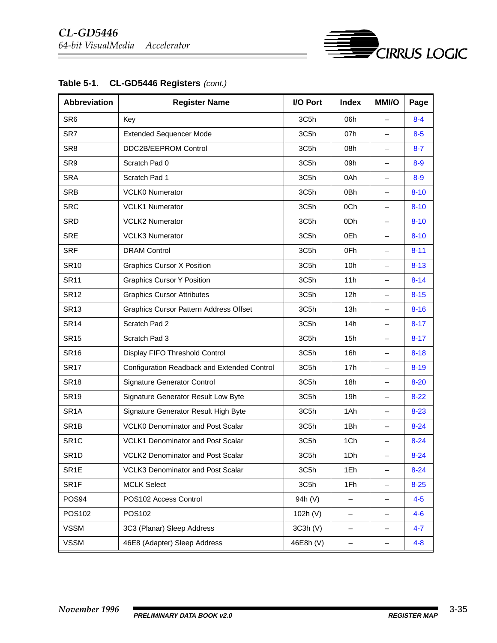| <b>Abbreviation</b> | <b>Register Name</b>                          | I/O Port  | <b>Index</b>      | <b>MMI/O</b>             | Page     |
|---------------------|-----------------------------------------------|-----------|-------------------|--------------------------|----------|
| SR <sub>6</sub>     | Key                                           | 3C5h      | 06h               | $\overline{\phantom{0}}$ | $8 - 4$  |
| SR7                 | <b>Extended Sequencer Mode</b>                | 3C5h      | 07h               | $\qquad \qquad -$        | $8 - 5$  |
| SR <sub>8</sub>     | DDC2B/EEPROM Control                          | 3C5h      | 08h               | $\overline{\phantom{0}}$ | $8 - 7$  |
| SR9                 | Scratch Pad 0                                 | 3C5h      | 09h               | $\qquad \qquad -$        | $8 - 9$  |
| <b>SRA</b>          | Scratch Pad 1                                 | 3C5h      | 0Ah               | $\overline{\phantom{0}}$ | $8 - 9$  |
| <b>SRB</b>          | <b>VCLK0 Numerator</b>                        | 3C5h      | 0Bh               | $\qquad \qquad -$        | $8 - 10$ |
| <b>SRC</b>          | <b>VCLK1 Numerator</b>                        | 3C5h      | 0Ch               | $\overline{\phantom{0}}$ | $8 - 10$ |
| SRD                 | <b>VCLK2 Numerator</b>                        | 3C5h      | 0Dh               | $\qquad \qquad -$        | $8 - 10$ |
| <b>SRE</b>          | <b>VCLK3 Numerator</b>                        | 3C5h      | 0Eh               | $\overline{\phantom{0}}$ | $8 - 10$ |
| <b>SRF</b>          | <b>DRAM Control</b>                           | 3C5h      | 0Fh               | $\qquad \qquad -$        | $8 - 11$ |
| <b>SR10</b>         | <b>Graphics Cursor X Position</b>             | 3C5h      | 10h               | $\qquad \qquad -$        | $8 - 13$ |
| <b>SR11</b>         | <b>Graphics Cursor Y Position</b>             | 3C5h      | 11h               | $\qquad \qquad -$        | $8 - 14$ |
| <b>SR12</b>         | <b>Graphics Cursor Attributes</b>             | 3C5h      | 12h               | $\overline{\phantom{0}}$ | $8 - 15$ |
| <b>SR13</b>         | <b>Graphics Cursor Pattern Address Offset</b> | 3C5h      | 13h               | $\qquad \qquad -$        | $8 - 16$ |
| <b>SR14</b>         | Scratch Pad 2                                 | 3C5h      | 14h               | $\overline{\phantom{0}}$ | $8 - 17$ |
| <b>SR15</b>         | Scratch Pad 3                                 | 3C5h      | 15h               | $\qquad \qquad -$        | $8 - 17$ |
| <b>SR16</b>         | Display FIFO Threshold Control                | 3C5h      | 16h               | $\qquad \qquad -$        | $8 - 18$ |
| <b>SR17</b>         | Configuration Readback and Extended Control   | 3C5h      | 17h               | $\qquad \qquad -$        | $8 - 19$ |
| <b>SR18</b>         | <b>Signature Generator Control</b>            | 3C5h      | 18h               | $\qquad \qquad -$        | $8 - 20$ |
| <b>SR19</b>         | Signature Generator Result Low Byte           | 3C5h      | 19h               | $\qquad \qquad -$        | $8 - 22$ |
| SR <sub>1</sub> A   | Signature Generator Result High Byte          | 3C5h      | 1Ah               | $\overline{\phantom{0}}$ | $8 - 23$ |
| SR <sub>1</sub> B   | <b>VCLK0 Denominator and Post Scalar</b>      | 3C5h      | 1Bh               | $\qquad \qquad -$        | $8 - 24$ |
| SR <sub>1C</sub>    | <b>VCLK1 Denominator and Post Scalar</b>      | 3C5h      | 1Ch               | $\qquad \qquad -$        | $8 - 24$ |
| SR <sub>1</sub> D   | <b>VCLK2 Denominator and Post Scalar</b>      | 3C5h      | 1Dh               | —                        | $8 - 24$ |
| SR <sub>1</sub> E   | <b>VCLK3 Denominator and Post Scalar</b>      | 3C5h      | 1Eh               | -                        | $8 - 24$ |
| SR <sub>1F</sub>    | <b>MCLK Select</b>                            | 3C5h      | 1Fh               | -                        | $8 - 25$ |
| POS94               | POS102 Access Control                         | 94h (V)   | —                 | -                        | $4 - 5$  |
| POS102              | POS102                                        | 102h (V)  | -                 | -                        | $4 - 6$  |
| <b>VSSM</b>         | 3C3 (Planar) Sleep Address                    | 3C3h (V)  | $\qquad \qquad -$ | -                        | $4 - 7$  |
| <b>VSSM</b>         | 46E8 (Adapter) Sleep Address                  | 46E8h (V) | -                 | -                        | $4 - 8$  |

Table 5-1. CL-GD5446 Registers (cont.)

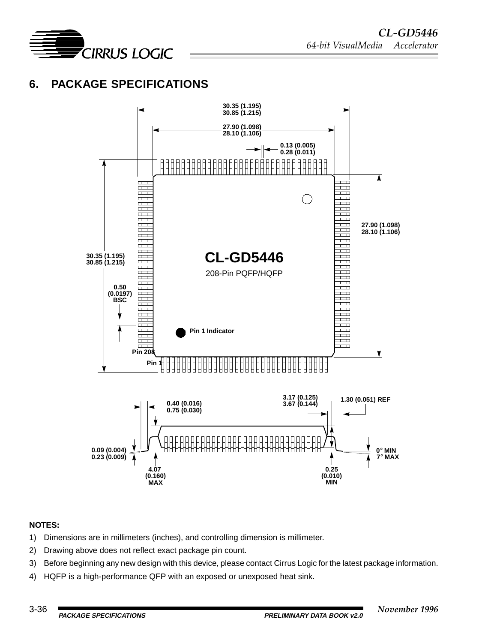<span id="page-35-0"></span>

### **6. PACKAGE SPECIFICATIONS**



#### **NOTES:**

- 1) Dimensions are in millimeters (inches), and controlling dimension is millimeter.
- 2) Drawing above does not reflect exact package pin count.
- 3) Before beginning any new design with this device, please contact Cirrus Logic for the latest package information.
- 4) HQFP is a high-performance QFP with an exposed or unexposed heat sink.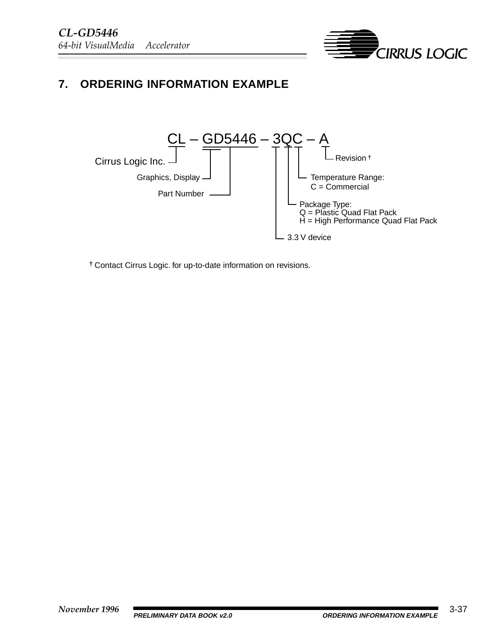

### <span id="page-36-0"></span>**7. ORDERING INFORMATION EXAMPLE**



**†** Contact Cirrus Logic. for up-to-date information on revisions.